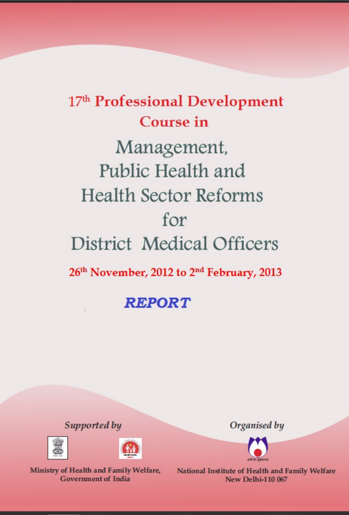# 17th Professional Development Course in Management, Public Health and **Health Sector Reforms** for **District Medical Officers** 26th November, 2012 to 2<sup>nd</sup> February, 2013

**REPORT** 

Supported by





Ministry of Health and Family Welfare, **Government of India** 

Organised by



National Institute of Health and Family Welfare **New Delhi-110 067**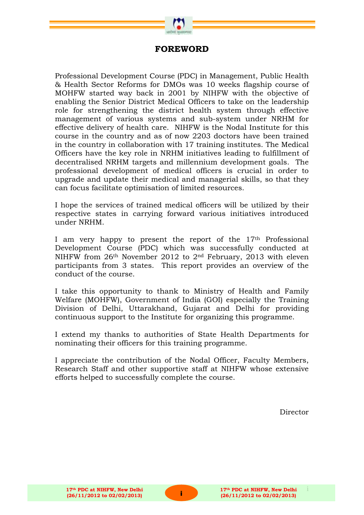

# **FOREWORD**

Professional Development Course (PDC) in Management, Public Health & Health Sector Reforms for DMOs was 10 weeks flagship course of MOHFW started way back in 2001 by NIHFW with the objective of enabling the Senior District Medical Officers to take on the leadership role for strengthening the district health system through effective management of various systems and sub-system under NRHM for effective delivery of health care. NIHFW is the Nodal Institute for this course in the country and as of now 2203 doctors have been trained in the country in collaboration with 17 training institutes. The Medical Officers have the key role in NRHM initiatives leading to fulfillment of decentralised NRHM targets and millennium development goals. The professional development of medical officers is crucial in order to upgrade and update their medical and managerial skills, so that they can focus facilitate optimisation of limited resources.

I hope the services of trained medical officers will be utilized by their respective states in carrying forward various initiatives introduced under NRHM.

I am very happy to present the report of the  $17<sup>th</sup>$  Professional Development Course (PDC) which was successfully conducted at NIHFW from 26th November 2012 to 2nd February, 2013 with eleven participants from 3 states. This report provides an overview of the conduct of the course.

I take this opportunity to thank to Ministry of Health and Family Welfare (MOHFW), Government of India (GOI) especially the Training Division of Delhi, Uttarakhand, Gujarat and Delhi for providing continuous support to the Institute for organizing this programme.

I extend my thanks to authorities of State Health Departments for nominating their officers for this training programme.

I appreciate the contribution of the Nodal Officer, Faculty Members, Research Staff and other supportive staff at NIHFW whose extensive efforts helped to successfully complete the course.

Director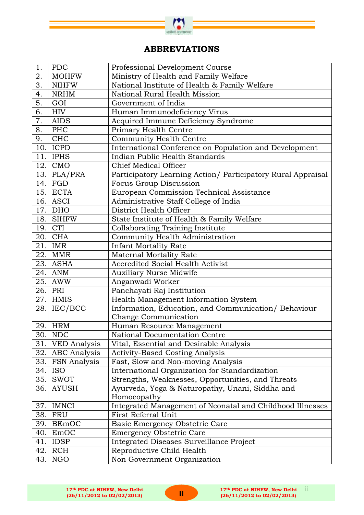

# **ABBREVIATIONS**

| 1.  | <b>PDC</b>          | Professional Development Course                              |
|-----|---------------------|--------------------------------------------------------------|
| 2.  | <b>MOHFW</b>        | Ministry of Health and Family Welfare                        |
| 3.  | <b>NIHFW</b>        | National Institute of Health & Family Welfare                |
| 4.  | <b>NRHM</b>         | National Rural Health Mission                                |
| 5.  | GOI                 | Government of India                                          |
| 6.  | HIV                 | Human Immunodeficiency Virus                                 |
| 7.  | <b>AIDS</b>         | Acquired Immune Deficiency Syndrome                          |
| 8.  | PHC                 | Primary Health Centre                                        |
| 9.  | <b>CHC</b>          | Community Health Centre                                      |
| 10. | <b>ICPD</b>         | International Conference on Population and Development       |
| 11. | <b>IPHS</b>         | Indian Public Health Standards                               |
| 12. | <b>CMO</b>          | <b>Chief Medical Officer</b>                                 |
| 13. | PLA/PRA             | Participatory Learning Action/ Participatory Rural Appraisal |
| 14. | FGD                 | Focus Group Discussion                                       |
|     | $15.$ ECTA          | European Commission Technical Assistance                     |
| 16. | ASCI                | Administrative Staff College of India                        |
| 17. | DHO                 | District Health Officer                                      |
| 18. | SIHFW               | State Institute of Health & Family Welfare                   |
| 19. | <b>CTI</b>          | <b>Collaborating Training Institute</b>                      |
| 20. | <b>CHA</b>          | Community Health Administration                              |
| 21. | IMR                 | <b>Infant Mortality Rate</b>                                 |
| 22. | MMR                 | <b>Maternal Mortality Rate</b>                               |
| 23. | ASHA                | <b>Accredited Social Health Activist</b>                     |
| 24. | ANM                 | <b>Auxiliary Nurse Midwife</b>                               |
| 25. | AWW                 | Anganwadi Worker                                             |
| 26. | PRI                 | Panchayati Raj Institution                                   |
| 27. | <b>HMIS</b>         | Health Management Information System                         |
| 28. | IEC/BCC             | Information, Education, and Communication/ Behaviour         |
|     |                     | Change Communication                                         |
| 29. | HRM                 | Human Resource Management                                    |
|     | 30. NDC             | National Documentation Centre                                |
| 31. | <b>VED</b> Analysis | Vital, Essential and Desirable Analysis                      |
|     | 32. ABC Analysis    | <b>Activity-Based Costing Analysis</b>                       |
| 33. | <b>FSN</b> Analysis | Fast, Slow and Non-moving Analysis                           |
| 34. | <b>ISO</b>          | International Organization for Standardization               |
| 35. | <b>SWOT</b>         | Strengths, Weaknesses, Opportunities, and Threats            |
| 36. | <b>AYUSH</b>        | Ayurveda, Yoga & Naturopathy, Unani, Siddha and              |
|     |                     | Homoeopathy                                                  |
| 37. | IMNCI               | Integrated Management of Neonatal and Childhood Illnesses    |
| 38. | FRU                 | First Referral Unit                                          |
| 39. | <b>BEmOC</b>        | Basic Emergency Obstetric Care                               |
| 40. | EmOC                | <b>Emergency Obstetric Care</b>                              |
| 41. | <b>IDSP</b>         | Integrated Diseases Surveillance Project                     |
| 42. | RCH                 | Reproductive Child Health                                    |
| 43. | <b>NGO</b>          | Non Government Organization                                  |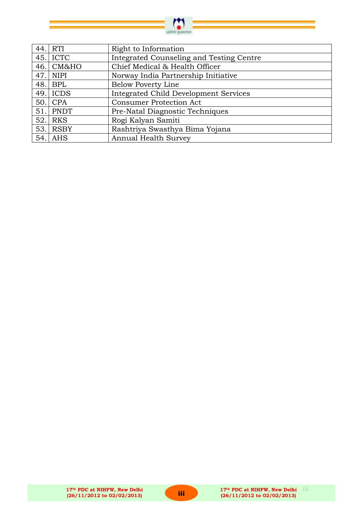

| 44.1 | RTI         | Right to Information                         |
|------|-------------|----------------------------------------------|
| 45.  | <b>ICTC</b> | Integrated Counseling and Testing Centre     |
| 46.  | CM&HO       | Chief Medical & Health Officer               |
| 47.  | <b>NIPI</b> | Norway India Partnership Initiative          |
| 48.1 | BPL         | <b>Below Poverty Line</b>                    |
|      | $49.$ ICDS  | <b>Integrated Child Development Services</b> |
| 50.1 | <b>CPA</b>  | <b>Consumer Protection Act</b>               |
| 51.1 | PNDT        | Pre-Natal Diagnostic Techniques              |
| 52.  | <b>RKS</b>  | Rogi Kalyan Samiti                           |
| 53.1 | <b>RSBY</b> | Rashtriya Swasthya Bima Yojana               |
|      | $54.$ AHS   | <b>Annual Health Survey</b>                  |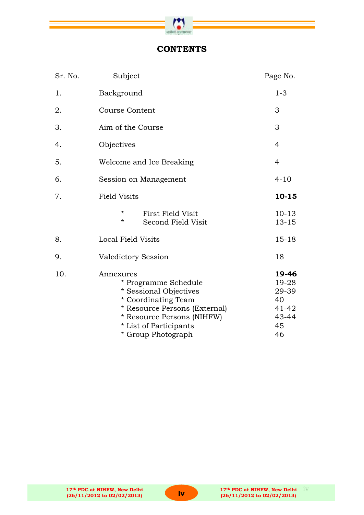

# **CONTENTS**

| Sr. No. | Subject                                                                                                                                                                                           | Page No.                                                    |
|---------|---------------------------------------------------------------------------------------------------------------------------------------------------------------------------------------------------|-------------------------------------------------------------|
| 1.      | Background                                                                                                                                                                                        | $1 - 3$                                                     |
| 2.      | <b>Course Content</b>                                                                                                                                                                             | 3                                                           |
| 3.      | Aim of the Course                                                                                                                                                                                 | 3                                                           |
| 4.      | Objectives                                                                                                                                                                                        | $\overline{4}$                                              |
| 5.      | Welcome and Ice Breaking                                                                                                                                                                          | $\overline{4}$                                              |
| 6.      | Session on Management                                                                                                                                                                             | $4 - 10$                                                    |
| 7.      | <b>Field Visits</b>                                                                                                                                                                               | 10-15                                                       |
|         | $\star$<br><b>First Field Visit</b><br>*<br>Second Field Visit                                                                                                                                    | $10 - 13$<br>$13 - 15$                                      |
| 8.      | Local Field Visits                                                                                                                                                                                | $15 - 18$                                                   |
| 9.      | Valedictory Session                                                                                                                                                                               | 18                                                          |
| 10.     | Annexures<br>* Programme Schedule<br>* Sessional Objectives<br>* Coordinating Team<br>* Resource Persons (External)<br>* Resource Persons (NIHFW)<br>* List of Participants<br>* Group Photograph | 19-46<br>19-28<br>29-39<br>40<br>41-42<br>43-44<br>45<br>46 |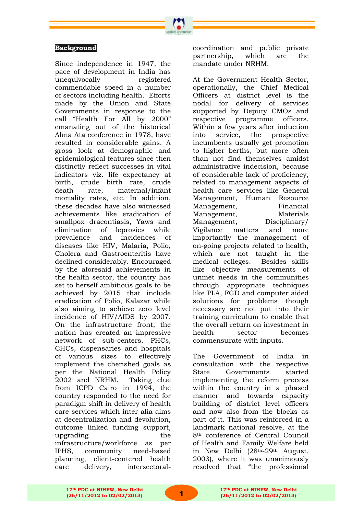

Since independence in 1947, the pace of development in India has unequivocally registered commendable speed in a number of sectors including health. Efforts made by the Union and State Governments in response to the call "Health For All by 2000" emanating out of the historical Alma Ata conference in 1978, have resulted in considerable gains. A gross look at demographic and epidemiological features since then distinctly reflect successes in vital indicators viz. life expectancy at birth, crude birth rate, crude death rate, maternal/infant mortality rates, etc. In addition, these decades have also witnessed achievements like eradication of smallpox dracontiasis, Yaws and elimination of leprosies while prevalence and incidences of diseases like HIV, Malaria, Polio, Cholera and Gastroenteritis have declined considerably. Encouraged by the aforesaid achievements in the health sector, the country has set to herself ambitious goals to be achieved by 2015 that include eradication of Polio, Kalazar while also aiming to achieve zero level incidence of HIV/AIDS by 2007. On the infrastructure front, the nation has created an impressive network of sub-centers, PHCs, CHCs, dispensaries and hospitals of various sizes to effectively implement the cherished goals as per the National Health Policy 2002 and NRHM. Taking clue from ICPD Cairo in 1994, the country responded to the need for paradigm shift in delivery of health care services which inter-alia aims at decentralization and devolution, outcome linked funding support, upgrading the infrastructure/workforce as per IPHS, community need-based planning, client-centered health care delivery, intersectoralcoordination and public private partnership, which are the mandate under NRHM.

At the Government Health Sector, operationally, the Chief Medical Officers at district level is the nodal for delivery of services supported by Deputy CMOs and respective programme officers. Within a few years after induction into service, the prospective incumbents usually get promotion to higher berths, but more often than not find themselves amidst administrative indecision, because of considerable lack of proficiency, related to management aspects of health care services like General Management, Human Resource Management, Financial Management, Materials Management, Disciplinary/ Vigilance matters and more importantly the management of on-going projects related to health, which are not taught in the medical colleges. Besides skills like objective measurements of unmet needs in the communities through appropriate techniques like PLA, FGD and computer aided solutions for problems though necessary are not put into their training curriculum to enable that the overall return on investment in health sector becomes commensurate with inputs.

The Government of India in consultation with the respective State Governments started implementing the reform process within the country in a phased manner and towards capacity building of district level officers and now also from the blocks as part of it. This was reinforced in a landmark national resolve, at the 8th conference of Central Council of Health and Family Welfare held in New Delhi (28th-29th August, 2003), where it was unanimously resolved that "the professional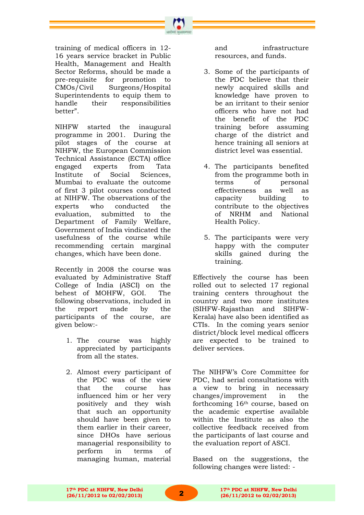training of medical officers in 12- 16 years service bracket in Public Health, Management and Health Sector Reforms, should be made a pre-requisite for promotion to CMOs/Civil Surgeons/Hospital Superintendents to equip them to handle their responsibilities better".

NIHFW started the inaugural programme in 2001. During the pilot stages of the course at NIHFW, the European Commission Technical Assistance (ECTA) office engaged experts from Tata Institute of Social Sciences, Mumbai to evaluate the outcome of first 3 pilot courses conducted at NIHFW. The observations of the experts who conducted the evaluation, submitted to the Department of Family Welfare, Government of India vindicated the usefulness of the course while recommending certain marginal changes, which have been done.

Recently in 2008 the course was evaluated by Administrative Staff College of India (ASCI) on the behest of MOHFW, GOI. The following observations, included in the report made by the participants of the course, are given below:-

- 1. The course was highly appreciated by participants from all the states.
- 2. Almost every participant of the PDC was of the view that the course has influenced him or her very positively and they wish that such an opportunity should have been given to them earlier in their career, since DHOs have serious managerial responsibility to perform in terms of managing human, material

and infrastructure resources, and funds.

- 3. Some of the participants of the PDC believe that their newly acquired skills and knowledge have proven to be an irritant to their senior officers who have not had the benefit of the PDC training before assuming charge of the district and hence training all seniors at district level was essential.
- 4. The participants benefited from the programme both in terms of personal effectiveness as well as capacity building to contribute to the objectives of NRHM and National Health Policy.
- 5. The participants were very happy with the computer skills gained during the training.

Effectively the course has been rolled out to selected 17 regional training centers throughout the country and two more institutes (SIHFW-Rajasthan and SIHFW-Kerala) have also been identified as CTIs. In the coming years senior district/block level medical officers are expected to be trained to deliver services.

The NIHFW"s Core Committee for PDC, had serial consultations with a view to bring in necessary changes/improvement in the forthcoming 16th course, based on the academic expertise available within the Institute as also the collective feedback received from the participants of last course and the evaluation report of ASCI.

Based on the suggestions, the following changes were listed: -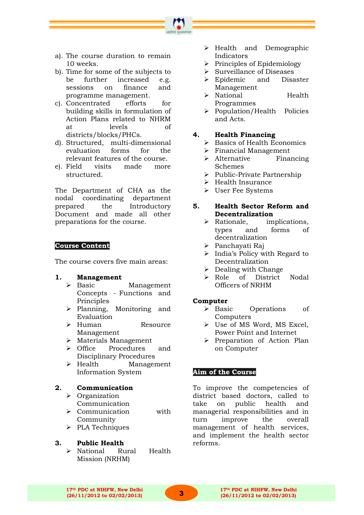

- a). The course duration to remain 10 weeks.
- b). Time for some of the subjects to be further increased e.g. sessions on finance and programme management.
- c). Concentrated efforts for building skills in formulation of Action Plans related to NHRM at levels of districts/blocks/PHCs.
- d). Structured, multi-dimensional evaluation forms for the relevant features of the course.
- e). Field visits made more structured.

The Department of CHA as the nodal coordinating department prepared the Introductory Document and made all other preparations for the course.

#### **Course Content**

The course covers five main areas:

- **1. Management** 
	- > Basic Management Concepts - Functions and Principles
	- Planning, Monitoring and Evaluation
	- > Human Resource Management
	- Materials Management
	- Office Procedures and Disciplinary Procedures
	- > Health Management Information System

#### **2. Communication**

- > Organization
	- Communication
	- > Communication with Community
	- $\triangleright$  PLA Techniques

#### **3. Public Health**

 National Rural Health Mission (NRHM)

- $\triangleright$  Health and Demographic Indicators
- $\triangleright$  Principles of Epidemiology
- $\triangleright$  Surveillance of Diseases
- > Epidemic and Disaster Management
- > National Health Programmes
- Population/Health Policies and Acts.

#### **4. Health Financing**

- $\triangleright$  Basics of Health Economics
- Financial Management
- > Alternative Financing Schemes
- $\triangleright$  Public-Private Partnership
- $\triangleright$  Health Insurance
- User Fee Systems

#### **5. Health Sector Reform and Decentralization**

- > Rationale, implications, types and forms of decentralization
- Panchayati Raj
- $\triangleright$  India's Policy with Regard to Decentralization
- $\triangleright$  Dealing with Change
- Role of District Nodal Officers of NRHM

#### **Computer**

- > Basic Operations of Computers
- Use of MS Word, MS Excel, Power Point and Internet
- $\triangleright$  Preparation of Action Plan on Computer

#### **Aim of the Course**

To improve the competencies of district based doctors, called to take on public health and managerial responsibilities and in turn improve the overall management of health services, and implement the health sector reforms.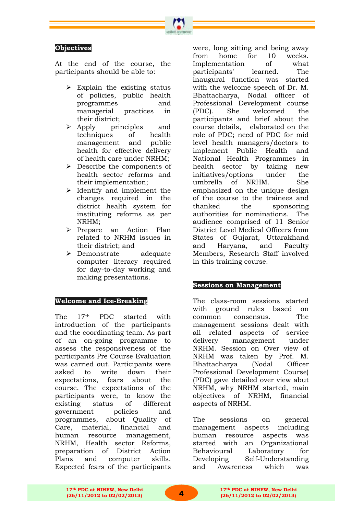#### **Objectives**

At the end of the course, the participants should be able to:

- Explain the existing status of policies, public health programmes and managerial practices in their district;
- Apply principles and techniques of health management and public health for effective delivery of health care under NRHM;
- Describe the components of health sector reforms and their implementation;
- $\triangleright$  Identify and implement the changes required in the district health system for instituting reforms as per NRHM;
- > Prepare an Action Plan related to NRHM issues in their district; and
- Demonstrate adequate computer literacy required for day-to-day working and making presentations.

#### **Welcome and Ice-Breaking**

The 17<sup>th</sup> PDC started with introduction of the participants and the coordinating team. As part of an on-going programme to assess the responsiveness of the participants Pre Course Evaluation was carried out. Participants were asked to write down their expectations, fears about the course. The expectations of the participants were, to know the existing status of different government policies and programmes, about Quality of Care, material, financial and human resource management, NRHM, Health sector Reforms, preparation of District Action Plans and computer skills. Expected fears of the participants

were, long sitting and being away from home for 10 weeks. Implementation of what participants' learned. The inaugural function was started with the welcome speech of Dr. M. Bhattacharya, Nodal officer of Professional Development course (PDC). She welcomed the participants and brief about the course details, elaborated on the role of PDC; need of PDC for mid level health managers/doctors to implement Public Health and National Health Programmes in health sector by taking new initiatives/options under the umbrella of NRHM. She emphasized on the unique design of the course to the trainees and thanked the sponsoring authorities for nominations. The audience comprised of 11 Senior District Level Medical Officers from States of Gujarat, Uttarakhand and Haryana, and Faculty Members, Research Staff involved in this training course.

#### **Sessions on Management**

The class-room sessions started with ground rules based on common consensus. The management sessions dealt with all related aspects of service delivery management under NRHM. Session on Over view of NRHM was taken by Prof. M. Bhattacharya (Nodal Officer Professional Development Course) (PDC) gave detailed over view abut NRHM, why NRHM started, main objectives of NRHM, financial aspects of NRHM.

The sessions on general management aspects including human resource aspects was started with an Organizational Behavioural Laboratory for Developing Self-Understanding and Awareness which was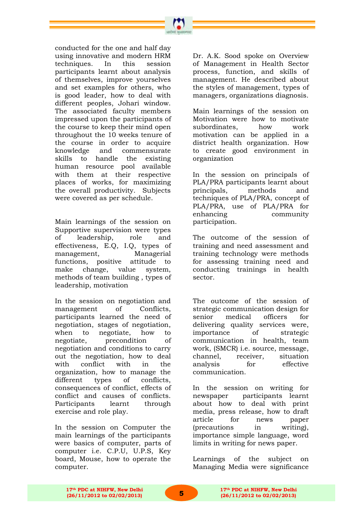conducted for the one and half day using innovative and modern HRM techniques. In this session participants learnt about analysis of themselves, improve yourselves and set examples for others, who is good leader, how to deal with different peoples, Johari window. The associated faculty members impressed upon the participants of the course to keep their mind open throughout the 10 weeks tenure of the course in order to acquire knowledge and commensurate skills to handle the existing human resource pool available with them at their respective places of works, for maximizing the overall productivity. Subjects were covered as per schedule.

Main learnings of the session on Supportive supervision were types of leadership, role and effectiveness, E.Q, I.Q, types of management, Managerial functions, positive attitude to make change, value system, methods of team building , types of leadership, motivation

In the session on negotiation and management of Conflicts, participants learned the need of negotiation, stages of negotiation, when to negotiate, how to negotiate, precondition of negotiation and conditions to carry out the negotiation, how to deal with conflict with in the organization, how to manage the different types of conflicts, consequences of conflict, effects of conflict and causes of conflicts. Participants learnt through exercise and role play.

In the session on Computer the main learnings of the participants were basics of computer, parts of computer i.e. C.P.U, U.P.S, Key board, Mouse, how to operate the computer.

Dr. A.K. Sood spoke on Overview of Management in Health Sector process, function, and skills of management. He described about the styles of management, types of managers, organizations diagnosis.

Main learnings of the session on Motivation were how to motivate subordinates, how work motivation can be applied in a district health organization. How to create good environment in organization

In the session on principals of PLA/PRA participants learnt about principals, methods and techniques of PLA/PRA, concept of PLA/PRA, use of PLA/PRA for enhancing community participation.

The outcome of the session of training and need assessment and training technology were methods for assessing training need and conducting trainings in health sector.

The outcome of the session of strategic communication design for senior medical officers for delivering quality services were, importance of strategic communication in health, team work, (SMCR) i.e. source, message, channel, receiver, situation analysis for effective communication.

In the session on writing for newspaper participants learnt about how to deal with print media, press release, how to draft article for news paper (precautions in writing), importance simple language, word limits in writing for news paper.

Learnings of the subject on Managing Media were significance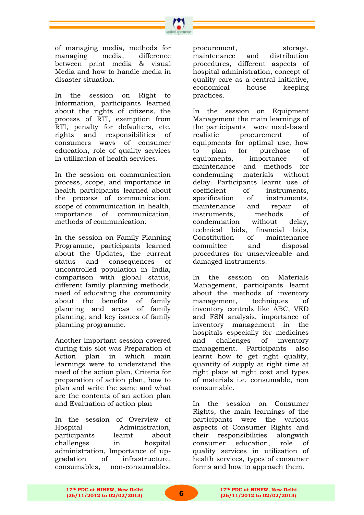of managing media, methods for managing media, difference between print media & visual Media and how to handle media in disaster situation.

In the session on Right to Information, participants learned about the rights of citizens, the process of RTI, exemption from RTI, penalty for defaulters, etc, rights and responsibilities of consumers ways of consumer education, role of quality services in utilization of health services.

In the session on communication process, scope, and importance in health participants learned about the process of communication, scope of communication in health, importance of communication, methods of communication.

In the session on Family Planning Programme, participants learned about the Updates, the current status and consequences of uncontrolled population in India, comparison with global status, different family planning methods, need of educating the community about the benefits of family planning and areas of family planning, and key issues of family planning programme.

Another important session covered during this slot was Preparation of Action plan in which main learnings were to understand the need of the action plan, Criteria for preparation of action plan, how to plan and write the same and what are the contents of an action plan and Evaluation of action plan

In the session of Overview of Hospital Administration, participants learnt about challenges in hospital administration, Importance of upgradation of infrastructure, consumables, non-consumables,

procurement, storage, maintenance and distribution procedures, different aspects of hospital administration, concept of quality care as a central initiative, economical house keeping practices.

In the session on Equipment Management the main learnings of the participants were need-based realistic procurement of equipments for optimal use, how to plan for purchase of equipments, importance of maintenance and methods for condemning materials without delay. Participants learnt use of coefficient of instruments, specification of instruments, maintenance and repair of instruments, methods of condemnation without delay, technical bids, financial bids, Constitution of maintenance committee and disposal procedures for unserviceable and damaged instruments.

In the session on Materials Management, participants learnt about the methods of inventory management, techniques of inventory controls like ABC, VED and FSN analysis, importance of inventory management in the hospitals especially for medicines<br>and challenges of inventory and challenges of inventory management. Participants also learnt how to get right quality, quantity of supply at right time at right place at right cost and types of materials i.e. consumable, non consumable.

In the session on Consumer Rights, the main learnings of the participants were the various aspects of Consumer Rights and their responsibilities alongwith consumer education, role of quality services in utilization of health services, types of consumer forms and how to approach them.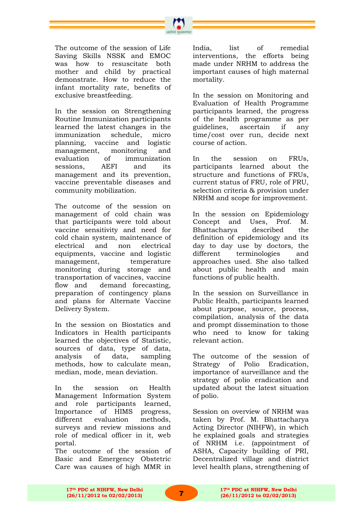The outcome of the session of Life Saving Skills NSSK and EMOC was how to resuscitate both mother and child by practical demonstrate. How to reduce the infant mortality rate, benefits of exclusive breastfeeding.

In the session on Strengthening Routine Immunization participants learned the latest changes in the immunization schedule, micro planning, vaccine and logistic management, monitoring and evaluation of immunization sessions, AEFI and its management and its prevention, vaccine preventable diseases and community mobilization.

The outcome of the session on management of cold chain was that participants were told about vaccine sensitivity and need for cold chain system, maintenance of electrical and non electrical equipments, vaccine and logistic management, temperature monitoring during storage and transportation of vaccines, vaccine flow and demand forecasting, preparation of contingency plans and plans for Alternate Vaccine Delivery System.

In the session on Biostatics and Indicators in Health participants learned the objectives of Statistic, sources of data, type of data, analysis of data, sampling methods, how to calculate mean, median, mode, mean deviation.

In the session on Health Management Information System and role participants learned, Importance of HIMS progress, different evaluation methods, surveys and review missions and role of medical officer in it, web portal.

The outcome of the session of Basic and Emergency Obstetric Care was causes of high MMR in India. list of remedial interventions, the efforts being made under NRHM to address the important causes of high maternal mortality.

In the session on Monitoring and Evaluation of Health Programme participants learned, the progress of the health programme as per guidelines, ascertain if any time/cost over run, decide next course of action.

In the session on FRUs, participants learned about the structure and functions of FRUs, current status of FRU, role of FRU, selection criteria & provision under NRHM and scope for improvement.

In the session on Epidemiology Concept and Uses, Prof. M. Bhattacharya described the definition of epidemiology and its day to day use by doctors, the different terminologies and approaches used. She also talked about public health and main functions of public health.

In the session on Surveillance in Public Health, participants learned about purpose, source, process, compilation, analysis of the data and prompt dissemination to those who need to know for taking relevant action.

The outcome of the session of Strategy of Polio Eradication, importance of surveillance and the strategy of polio eradication and updated about the latest situation of polio.

Session on overview of NRHM was taken by Prof. M. Bhattacharya Acting Director (NIHFW), in which he explained goals and strategies of NRHM i.e. (appointment of ASHA, Capacity building of PRI, Decentralized village and district level health plans, strengthening of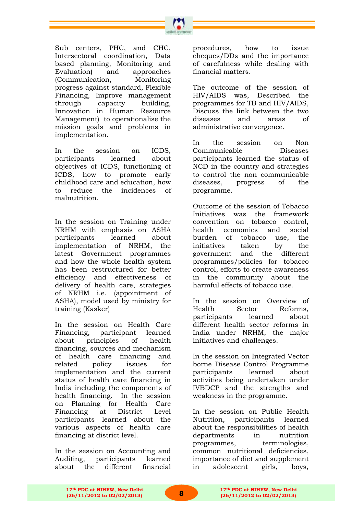

Sub centers, PHC, and CHC, Intersectoral coordination, Data based planning, Monitoring and Evaluation) and approaches (Communication, Monitoring progress against standard, Flexible Financing, Improve management through capacity building, Innovation in Human Resource Management) to operationalise the mission goals and problems in implementation.

In the session on ICDS, participants learned about objectives of ICDS, functioning of ICDS, how to promote early childhood care and education, how to reduce the incidences of malnutrition.

In the session on Training under NRHM with emphasis on ASHA participants learned about implementation of NRHM, the latest Government programmes and how the whole health system has been restructured for better efficiency and effectiveness of delivery of health care, strategies of NRHM i.e. (appointment of ASHA), model used by ministry for training (Kasker)

In the session on Health Care Financing, participant learned about principles of health financing, sources and mechanism of health care financing and related policy issues for implementation and the current status of health care financing in India including the components of health financing. In the session on Planning for Health Care Financing at District Level participants learned about the various aspects of health care financing at district level.

In the session on Accounting and Auditing, participants learned about the different financial procedures, how to issue cheques/DDs and the importance of carefulness while dealing with financial matters.

The outcome of the session of HIV/AIDS was, Described the programmes for TB and HIV/AIDS, Discuss the link between the two diseases and areas of administrative convergence.

In the session on Non Communicable Diseases participants learned the status of NCD in the country and strategies to control the non communicable diseases, progress of the programme.

Outcome of the session of Tobacco Initiatives was the framework convention on tobacco control, health economics and social burden of tobacco use, the initiatives taken by the government and the different programmes/policies for tobacco control, efforts to create awareness in the community about the harmful effects of tobacco use.

In the session on Overview of Health Sector Reforms, participants learned about different health sector reforms in India under NRHM, the major initiatives and challenges.

In the session on Integrated Vector borne Disease Control Programme participants learned about activities being undertaken under IVBDCP and the strengths and weakness in the programme.

In the session on Public Health Nutrition, participants learned about the responsibilities of health departments in nutrition programmes, terminologies, common nutritional deficiencies, importance of diet and supplement in adolescent girls, boys,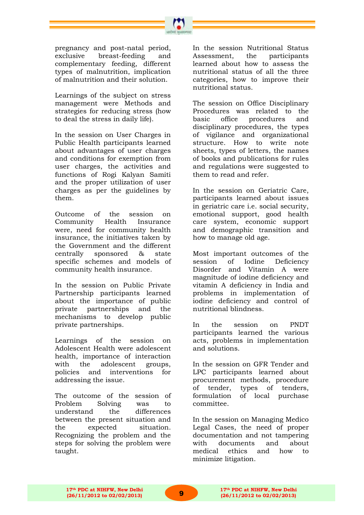pregnancy and post-natal period, exclusive breast-feeding and complementary feeding, different types of malnutrition, implication of malnutrition and their solution.

Learnings of the subject on stress management were Methods and strategies for reducing stress (how to deal the stress in daily life).

In the session on User Charges in Public Health participants learned about advantages of user charges and conditions for exemption from user charges, the activities and functions of Rogi Kalyan Samiti and the proper utilization of user charges as per the guidelines by them.

Outcome of the session on Community Health Insurance were, need for community health insurance, the initiatives taken by the Government and the different centrally sponsored & state specific schemes and models of community health insurance.

In the session on Public Private Partnership participants learned about the importance of public private partnerships and the mechanisms to develop public private partnerships.

Learnings of the session on Adolescent Health were adolescent health, importance of interaction with the adolescent groups, policies and interventions for addressing the issue.

The outcome of the session of Problem Solving was to understand the differences between the present situation and the expected situation. Recognizing the problem and the steps for solving the problem were taught.

In the session Nutritional Status Assessment, the participants learned about how to assess the nutritional status of all the three categories, how to improve their nutritional status.

The session on Office Disciplinary Procedures was related to the basic office procedures and disciplinary procedures, the types of vigilance and organizational structure. How to write note sheets, types of letters, the names of books and publications for rules and regulations were suggested to them to read and refer.

In the session on Geriatric Care, participants learned about issues in geriatric care i.e. social security, emotional support, good health care system, economic support and demographic transition and how to manage old age.

Most important outcomes of the session of Iodine Deficiency Disorder and Vitamin A were magnitude of iodine deficiency and vitamin A deficiency in India and problems in implementation of iodine deficiency and control of nutritional blindness.

In the session on PNDT participants learned the various acts, problems in implementation and solutions.

In the session on GFR Tender and LPC participants learned about procurement methods, procedure of tender, types of tenders, formulation of local purchase committee.

In the session on Managing Medico Legal Cases, the need of proper documentation and not tampering with documents and about medical ethics and how to minimize litigation.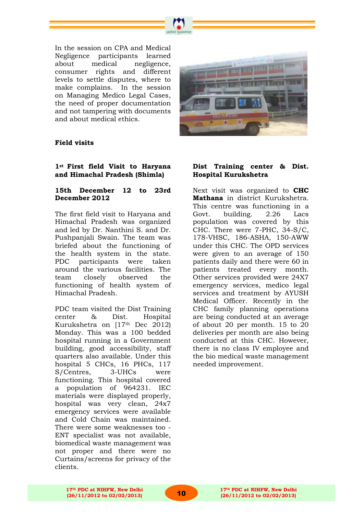

In the session on CPA and Medical Negligence participants learned about medical negligence, consumer rights and different levels to settle disputes, where to make complains. In the session on Managing Medico Legal Cases, the need of proper documentation and not tampering with documents and about medical ethics.



#### **Field visits**

#### **1st First field Visit to Haryana and Himachal Pradesh (Shimla)**

#### **15th December 12 to 23rd December 2012**

The first field visit to Haryana and Himachal Pradesh was organized and led by Dr. Nanthini S. and Dr. Pushpanjali Swain. The team was briefed about the functioning of the health system in the state. PDC participants were taken around the various facilities. The team closely observed the functioning of health system of Himachal Pradesh.

PDC team visited the Dist Training center & Dist. Hospital Kurukshetra on [17th Dec 2012) Monday. This was a 100 bedded hospital running in a Government building, good accessibility, staff quarters also available. Under this hospital 5 CHCs, 16 PHCs, 117 S/Centres, 3-UHCs were functioning. This hospital covered a population of 964231. IEC materials were displayed properly, hospital was very clean, 24x7 emergency services were available and Cold Chain was maintained. There were some weaknesses too - ENT specialist was not available, biomedical waste management was not proper and there were no Curtains/screens for privacy of the clients.

#### **Dist Training center & Dist. Hospital Kurukshetra**

Next visit was organized to **CHC Mathana** in district Kurukshetra. This centre was functioning in a Govt. building. 2.26 Lacs population was covered by this CHC. There were 7-PHC, 34-S/C, 178-VHSC, 186-ASHA, 150-AWW under this CHC. The OPD services were given to an average of 150 patients daily and there were 60 in patients treated every month. Other services provided were 24X7 emergency services, medico legal services and treatment by AYUSH Medical Officer. Recently in the CHC family planning operations are being conducted at an average of about 20 per month. 15 to 20 deliveries per month are also being conducted at this CHC. However, there is no class IV employee and the bio medical waste management needed improvement.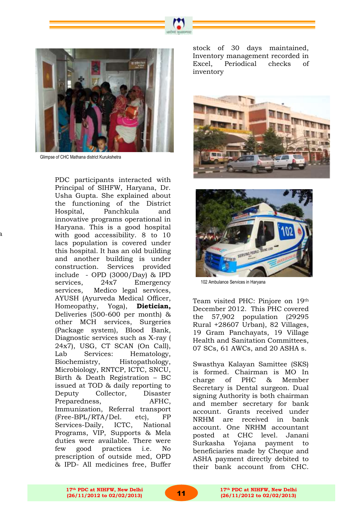

Glimpse of CHC Mathana district Kurukshetra

a district Hospital Kuruksheta Kuruksheta Austrické*st* Hospital Kuruksheta Kuruksheta Kuruksheta Kuruksheta Kuru<br>A

PDC participants interacted with Principal of SIHFW, Haryana, Dr. Usha Gupta. She explained about the functioning of the District Hospital, Panchkula and innovative programs operational in Haryana. This is a good hospital with good accessibility. 8 to 10 lacs population is covered under this hospital. It has an old building and another building is under construction. Services provided include - OPD (3000/Day) & IPD services, 24x7 Emergency services, Medico legal services, AYUSH (Ayurveda Medical Officer, Homeopathy, Yoga), **Dietician,**  Deliveries (500-600 per month) & other MCH services, Surgeries (Package system), Blood Bank, Diagnostic services such as X-ray ( 24x7), USG, CT SCAN (On Call), Lab Services: Hematology, Biochemistry, Histopathology, Microbiology, RNTCP, ICTC, SNCU, Birth & Death Registration – BC issued at TOD & daily reporting to Deputy Collector, Disaster Preparedness, AFHC, Immunization, Referral transport (Free-BPL/RTA/Del. etc), FP Services-Daily, ICTC, National Programs, VIP, Supports & Mela duties were available. There were few good practices i.e. No prescription of outside med, OPD & IPD- All medicines free, Buffer stock of 30 days maintained, Inventory management recorded in Excel, Periodical checks of inventory





102 Ambulance Services in Haryana

Team visited PHC: Pinjore on 19th December 2012. This PHC covered the 57,902 population (29295 Rural +28607 Urban), 82 Villages, 19 Gram Panchayats, 19 Village Health and Sanitation Committees, 07 SCs, 61 AWCs, and 20 ASHA s.

Swasthya Kalayan Samittee (SKS) is formed. Chairman is MO In charge of PHC & Member Secretary is Dental surgeon. Dual signing Authority is both chairman and member secretary for bank account. Grants received under NRHM are received in bank account. One NRHM accountant posted at CHC level. Janani Surkasha Yojana payment to beneficiaries made by Cheque and ASHA payment directly debited to their bank account from CHC.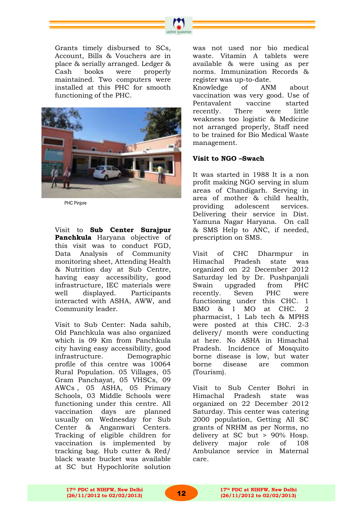



PHC Pinjore

Visit to **Sub Center Surajpur Panchkula** Haryana objective of this visit was to conduct FGD, Data Analysis of Community monitoring sheet, Attending Health & Nutrition day at Sub Centre, having easy accessibility, good infrastructure, IEC materials were well displayed. Participants interacted with ASHA, AWW, and Community leader.

Visit to Sub Center: Nada sahib, Old Panchkula was also organized which is 09 Km from Panchkula city having easy accessibility, good infrastructure. Demographic profile of this centre was 10064 Rural Population. 05 Villages, 05 Gram Panchayat, 05 VHSCs, 09 AWCs , 05 ASHA, 05 Primary Schools, 03 Middle Schools were functioning under this centre. All vaccination days are planned usually on Wednesday for Sub Center & Anganwari Centers. Tracking of eligible children for vaccination is implemented by tracking bag. Hub cutter & Red/ black waste bucket was available at SC but Hypochlorite solution

was not used nor bio medical waste. Vitamin A tablets were available & were using as per norms. Immunization Records & register was up-to-date. Knowledge of ANM about vaccination was very good. Use of Pentavalent vaccine started recently. There were little weakness too logistic & Medicine not arranged properly, Staff need to be trained for Bio Medical Waste management.

#### **Visit to NGO –Swach**

It was started in 1988 It is a non profit making NGO serving in slum areas of Chandigarh. Serving in area of mother & child health, providing adolescent services. Delivering their service in Dist. Yamuna Nagar Haryana. On call & SMS Help to ANC, if needed, prescription on SMS.

Visit of CHC Dharmpur in Himachal Pradesh state was organized on 22 December 2012 Saturday led by Dr. Pushpanjali Swain upgraded from PHC recently. Seven PHC were functioning under this CHC. 1 BMO & 1 MO at CHC. 2 pharmacist, 1 Lab tech & MPHS were posted at this CHC. 2-3 delivery/ month were conducting at here. No ASHA in Himachal Pradesh. Incidence of Mosquito borne disease is low, but water borne disease are common (Tourism).

Visit to Sub Center Bohri in Himachal Pradesh state was organized on 22 December 2012 Saturday. This center was catering 2000 population, Getting All SC grants of NRHM as per Norms, no delivery at SC but > 90% Hosp. delivery major role of 108 Ambulance service in Maternal care.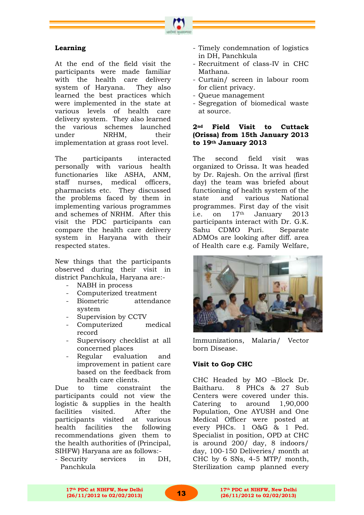

#### **Learning**

At the end of the field visit the participants were made familiar with the health care delivery system of Haryana. They also learned the best practices which were implemented in the state at various levels of health care delivery system. They also learned the various schemes launched under NRHM, their implementation at grass root level.

The participants interacted personally with various health functionaries like ASHA, ANM, staff nurses, medical officers, pharmacists etc. They discussed the problems faced by them in implementing various programmes and schemes of NRHM. After this visit the PDC participants can compare the health care delivery system in Haryana with their respected states.

New things that the participants observed during their visit in district Panchkula, Haryana are:-

- NABH in process
- Computerized treatment
- Biometric attendance system
- Supervision by CCTV
- Computerized medical record
- Supervisory checklist at all concerned places
- Regular evaluation and improvement in patient care based on the feedback from health care clients.

Due to time constraint the participants could not view the logistic & supplies in the health facilities visited. After the participants visited at various health facilities the following recommendations given them to the health authorities of (Principal, SIHFW) Haryana are as follows:-

- Security services in DH, Panchkula

- Timely condemnation of logistics in DH, Panchkula
- Recruitment of class-IV in CHC Mathana.
- Curtain/ screen in labour room for client privacy.
- Queue management
- Segregation of biomedical waste at source.

#### **2nd Field Visit to Cuttack (Orissa) from 15th January 2013 to 19th January 2013**

The second field visit was organized to Orissa. It was headed by Dr. Rajesh. On the arrival (first day) the team was briefed about functioning of health system of the state and various National programmes. First day of the visit i.e. on 17<sup>th</sup> January 2013 participants interact with Dr. G.K. Sahu CDMO Puri. Separate ADMOs are looking after diff. area of Health care e.g. Family Welfare,



Immunizations, Malaria/ Vector born Disease.

# **Visit to Gop CHC**

CHC Headed by MO –Block Dr. Baitharu. 8 PHCs & 27 Sub Centers were covered under this. Catering to around 1,90,000 Population, One AYUSH and One Medical Officer were posted at every PHCs. 1 O&G & 1 Ped. Specialist in position, OPD at CHC is around 200/ day, 8 indoors/ day, 100-150 Deliveries/ month at CHC by 6 SNs, 4-5 MTP/ month, Sterilization camp planned every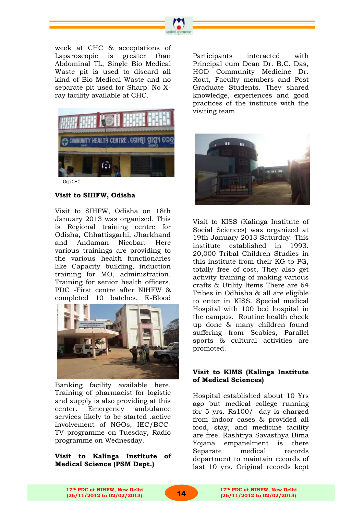



Gop CHC

#### **Visit to SIHFW, Odisha**

Visit to SIHFW, Odisha on 18th January 2013 was organized. This is Regional training centre for Odisha, Chhattisgarhi, Jharkhand and Andaman Nicobar. Here various trainings are providing to the various health functionaries like Capacity building, induction training for MO, administration. Training for senior health officers. PDC -First centre after NIHFW & completed 10 batches, E-Blood



Banking facility available here. Training of pharmacist for logistic and supply is also providing at this center. Emergency ambulance services likely to be started .active involvement of NGOs, IEC/BCC-TV programme on Tuesday, Radio programme on Wednesday.

#### **Visit to Kalinga Institute of Medical Science (PSM Dept.)**

Participants interacted with Principal cum Dean Dr. B.C. Das, HOD Community Medicine Dr. Rout, Faculty members and Post Graduate Students. They shared knowledge, experiences and good practices of the institute with the visiting team.



Visit to KISS (Kalinga Institute of Social Sciences) was organized at 19th January 2013 Saturday. This institute established in 1993. 20,000 Tribal Children Studies in this institute from their KG to PG, totally free of cost. They also get activity training of making various crafts & Utility Items There are 64 Tribes in Odhisha & all are eligible to enter in KISS. Special medical Hospital with 100 bed hospital in the campus. Routine health check up done & many children found suffering from Scabies, Parallel sports & cultural activities are promoted.

#### **Visit to KIMS (Kalinga Institute of Medical Sciences)**

Hospital established about 10 Yrs ago but medical college running for 5 yrs. Rs100/- day is charged from indoor cases & provided all food, stay, and medicine facility are free. Rashtrya Savasthya Bima Yojana empanelment is there Separate medical records department to maintain records of last 10 yrs. Original records kept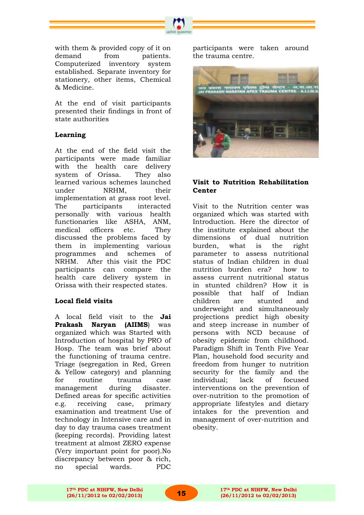

with them & provided copy of it on demand from patients. Computerized inventory system established. Separate inventory for stationery, other items, Chemical & Medicine.

At the end of visit participants presented their findings in front of state authorities

# **Learning**

At the end of the field visit the participants were made familiar with the health care delivery system of Orissa. They also learned various schemes launched under NRHM, their implementation at grass root level. The participants interacted personally with various health functionaries like ASHA, ANM, medical officers etc. They discussed the problems faced by them in implementing various programmes and schemes of NRHM. After this visit the PDC participants can compare the health care delivery system in Orissa with their respected states.

#### **Local field visits**

A local field visit to the **Jai Prakash Naryan (AIIMS**) was organized which was Started with Introduction of hospital by PRO of Hosp. The team was brief about the functioning of trauma centre. Triage (segregation in Red, Green & Yellow category) and planning for routine trauma case management during disaster. Defined areas for specific activities e.g. receiving case, primary examination and treatment Use of technology in Intensive care and in day to day trauma cases treatment (keeping records). Providing latest treatment at almost ZERO expense (Very important point for poor).No discrepancy between poor & rich, no special wards. PDC

participants were taken around the trauma centre.



#### **Visit to Nutrition Rehabilitation Center**

Visit to the Nutrition center was organized which was started with Introduction. Here the director of the institute explained about the dimensions of dual nutrition burden, what is the right parameter to assess nutritional status of Indian children in dual nutrition burden era? how to assess current nutritional status in stunted children? How it is possible that half of Indian children are stunted and underweight and simultaneously projections predict high obesity and steep increase in number of persons with NCD because of obesity epidemic from childhood. Paradigm Shift in Tenth Five Year Plan, household food security and freedom from hunger to nutrition security for the family and the individual; lack of focused interventions on the prevention of over-nutrition to the promotion of appropriate lifestyles and dietary intakes for the prevention and management of over-nutrition and obesity.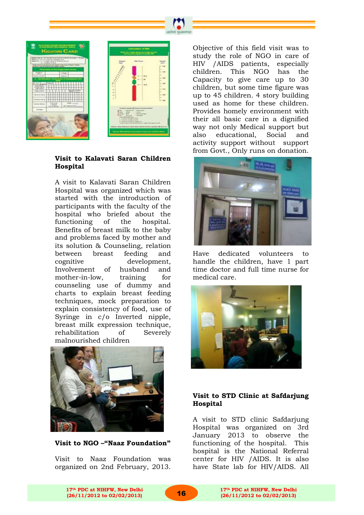



#### **Visit to Kalavati Saran Children Hospital**

A visit to Kalavati Saran Children Hospital was organized which was started with the introduction of participants with the faculty of the hospital who briefed about the functioning of the hospital. Benefits of breast milk to the baby and problems faced by mother and its solution & Counseling, relation between breast feeding and cognitive development, Involvement of husband and mother-in-low, training for counseling use of dummy and charts to explain breast feeding techniques, mock preparation to explain consistency of food, use of Syringe in c/o Inverted nipple, breast milk expression technique, rehabilitation of Severely malnourished children



**Visit to NGO –"Naaz Foundation"**

Visit to Naaz Foundation was organized on 2nd February, 2013. Objective of this field visit was to study the role of NGO in care of HIV /AIDS patients, especially children. This NGO has the Capacity to give care up to 30 children, but some time figure was up to 45 children. 4 story building used as home for these children. Provides homely environment with their all basic care in a dignified way not only Medical support but also educational, Social and activity support without support from Govt., Only runs on donation.



Have dedicated volunteers handle the children, have 1 part time doctor and full time nurse for medical care.



#### **Visit to STD Clinic at Safdarjung Hospital**

A visit to STD clinic Safdarjung Hospital was organized on 3rd January 2013 to observe the functioning of the hospital. This hospital is the National Referral center for HIV /AIDS. It is also have State lab for HIV/AIDS. All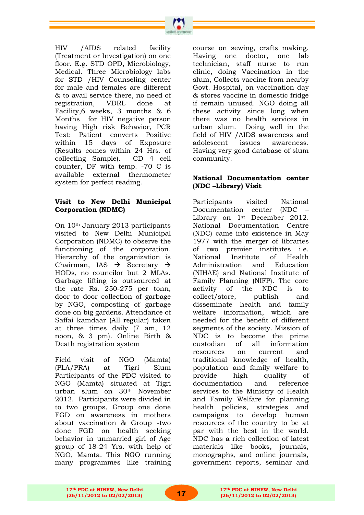HIV /AIDS related facility (Treatment or Investigation) on one floor. E.g. STD OPD, Microbiology, Medical. Three Microbiology labs for STD /HIV Counseling center for male and females are different & to avail service there, no need of registration, VDRL done at Facility,6 weeks, 3 months & 6 Months for HIV negative person having High risk Behavior, PCR Test: Patient converts Positive within 15 days of Exposure (Results comes within 24 Hrs. of collecting Sample). CD 4 cell counter, DF with temp. -70 C is available external thermometer system for perfect reading.

#### **Visit to New Delhi Municipal Corporation (NDMC)**

On 10th January 2013 participants visited to New Delhi Municipal Corporation (NDMC) to observe the functioning of the corporation. Hierarchy of the organization is Chairman, IAS  $\rightarrow$  Secretary  $\rightarrow$ HODs, no councilor but 2 MLAs. Garbage lifting is outsourced at the rate Rs. 250-275 per tonn, door to door collection of garbage by NGO, composting of garbage done on big gardens. Attendance of Saffai kamdaar (All regular) taken at three times daily (7 am, 12 noon, & 3 pm). Online Birth & Death registration system

Field visit of NGO (Mamta) (PLA/PRA) at Tigri Slum Participants of the PDC visited to NGO (Mamta) situated at Tigri urban slum on 30th November 2012. Participants were divided in to two groups, Group one done FGD on awareness in mothers about vaccination & Group -two done FGD on health seeking behavior in unmarried girl of Age group of 18-24 Yrs. with help of NGO, Mamta. This NGO running many programmes like training course on sewing, crafts making. Having one doctor, one lab technician, staff nurse to run clinic, doing Vaccination in the slum, Collects vaccine from nearby Govt. Hospital, on vaccination day & stores vaccine in domestic fridge if remain unused. NGO doing all these activity since long when there was no health services in urban slum. Doing well in the field of HIV /AIDS awareness and adolescent issues awareness. Having very good database of slum community.

#### **National Documentation center (NDC –Library) Visit**

Participants visited National Documentation center (NDC – Library on 1st December 2012. National Documentation Centre (NDC) came into existence in May 1977 with the merger of libraries of two premier institutes i.e. National Institute of Health Administration and Education (NIHAE) and National Institute of Family Planning (NIFP). The core activity of the NDC is to collect/store, publish and disseminate health and family welfare information, which are needed for the benefit of different segments of the society. Mission of NDC is to become the prime custodian of all information resources on current and traditional knowledge of health, population and family welfare to provide high quality of documentation and reference services to the Ministry of Health and Family Welfare for planning health policies, strategies and campaigns to develop human resources of the country to be at par with the best in the world. NDC has a rich collection of latest materials like books, journals, monographs, and online journals, government reports, seminar and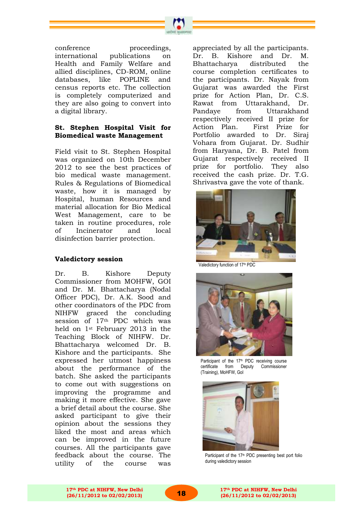

conference proceedings, international publications on Health and Family Welfare and allied disciplines, CD-ROM, online databases, like POPLINE and census reports etc. The collection is completely computerized and they are also going to convert into a digital library.

#### **St. Stephen Hospital Visit for Biomedical waste Management**

Field visit to St. Stephen Hospital was organized on 10th December 2012 to see the best practices of bio medical waste management. Rules & Regulations of Biomedical waste, how it is managed by Hospital, human Resources and material allocation for Bio Medical West Management, care to be taken in routine procedures, role of Incinerator and local disinfection barrier protection.

#### **Valedictory session**

Dr. B. Kishore Deputy Commissioner from MOHFW, GOI and Dr. M. Bhattacharya (Nodal Officer PDC), Dr. A.K. Sood and other coordinators of the PDC from NIHFW graced the concluding session of 17th PDC which was held on 1st February 2013 in the Teaching Block of NIHFW. Dr. Bhattacharya welcomed Dr. B. Kishore and the participants. She expressed her utmost happiness about the performance of the batch. She asked the participants to come out with suggestions on improving the programme and making it more effective. She gave a brief detail about the course. She asked participant to give their opinion about the sessions they liked the most and areas which can be improved in the future courses. All the participants gave feedback about the course. The utility of the course was

appreciated by all the participants. Dr. B. Kishore and Dr. M. Bhattacharya distributed the course completion certificates to the participants. Dr. Nayak from Gujarat was awarded the First prize for Action Plan, Dr. C.S. Rawat from Uttarakhand, Dr. Pandaye from Uttarakhand respectively received II prize for Action Plan. First Prize for Portfolio awarded to Dr. Siraj Vohara from Gujarat. Dr. Sudhir from Haryana, Dr. B. Patel from Gujarat respectively received II prize for portfolio. They also received the cash prize. Dr. T.G. Shrivastva gave the vote of thank.



Valedictory function of 17<sup>th</sup> PDC



Participant of the 17<sup>th</sup> PDC receiving course certificate from Deputy Commissioner (Training), MoHFW, GoI



Participant of the 17<sup>th</sup> PDC presenting best port folio during valedictory session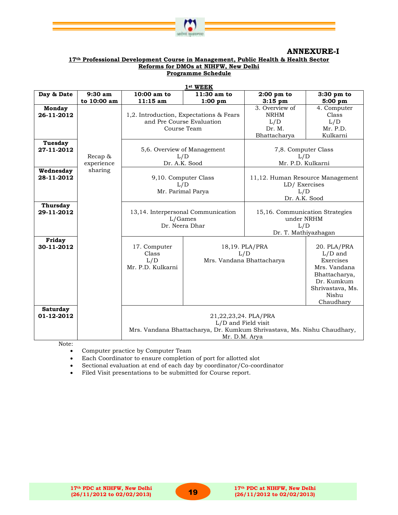

#### **ANNEXURE-I**

#### **17th Professional Development Course in Management, Public Health & Health Sector Reforms for DMOs at NIHFW, New Delhi Programme Schedule**

|                               | 1st WEEK                                                                     |                                                                                     |                                                                                                                                         |                                                                              |                                                                                                                                |  |  |
|-------------------------------|------------------------------------------------------------------------------|-------------------------------------------------------------------------------------|-----------------------------------------------------------------------------------------------------------------------------------------|------------------------------------------------------------------------------|--------------------------------------------------------------------------------------------------------------------------------|--|--|
| Day & Date                    | $9:30$ am                                                                    | $10:00$ am to                                                                       | 11:30 am to                                                                                                                             | $2:00$ pm to                                                                 | 3:30 pm to                                                                                                                     |  |  |
|                               | to 10:00 am                                                                  | 11:15 am                                                                            | 1:00~pm                                                                                                                                 | $3:15$ pm                                                                    | 5:00 pm                                                                                                                        |  |  |
| <b>Monday</b><br>26-11-2012   |                                                                              | 1,2. Introduction, Expectations & Fears<br>and Pre Course Evaluation<br>Course Team |                                                                                                                                         | 3. Overview of<br><b>NRHM</b><br>L/D<br>Dr. M.<br>Bhattacharya               | 4. Computer<br>Class<br>L/D<br>Mr. P.D.<br>Kulkarni                                                                            |  |  |
| Tuesday<br>27-11-2012         | 5,6. Overview of Management<br>Recap &<br>L/D<br>experience<br>Dr. A.K. Sood |                                                                                     |                                                                                                                                         | 7,8. Computer Class<br>L/D<br>Mr. P.D. Kulkarni                              |                                                                                                                                |  |  |
| Wednesday<br>28-11-2012       | sharing                                                                      | 9,10. Computer Class<br>L/D<br>Mr. Parimal Parya                                    |                                                                                                                                         | 11,12. Human Resource Management<br>LD/Exercises<br>L/D<br>Dr. A.K. Sood     |                                                                                                                                |  |  |
| Thursday<br>29-11-2012        |                                                                              | 13,14. Interpersonal Communication<br>L/Games<br>Dr. Neera Dhar                     |                                                                                                                                         | 15,16. Communication Strategies<br>under NRHM<br>L/D<br>Dr. T. Mathiyazhagan |                                                                                                                                |  |  |
| Friday<br>30-11-2012          |                                                                              | 17. Computer<br>Class<br>L/D<br>Mr. P.D. Kulkarni                                   | 18,19. PLA/PRA<br>L/D<br>Mrs. Vandana Bhattacharya                                                                                      |                                                                              | 20. PLA/PRA<br>$L/D$ and<br>Exercises<br>Mrs. Vandana<br>Bhattacharya,<br>Dr. Kumkum<br>Shrivastava, Ms.<br>Nishu<br>Chaudhary |  |  |
| <b>Saturday</b><br>01-12-2012 |                                                                              |                                                                                     | 21,22,23,24. PLA/PRA<br>L/D and Field visit<br>Mrs. Vandana Bhattacharya, Dr. Kumkum Shrivastava, Ms. Nishu Chaudhary,<br>Mr. D.M. Arya |                                                                              |                                                                                                                                |  |  |

Note:

Computer practice by Computer Team

Each Coordinator to ensure completion of port for allotted slot

Sectional evaluation at end of each day by coordinator/Co-coordinator

Filed Visit presentations to be submitted for Course report.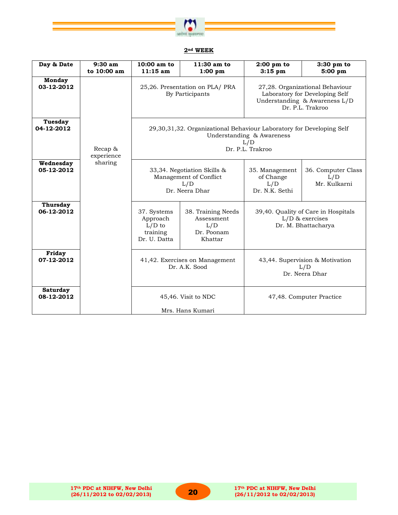

#### **2nd WEEK**

| Day & Date                    | 9:30 am<br>to 10:00 am | 10:00 am to<br>$11:15$ am                                                                                                    | 11:30 am to<br>1:00~pm                                                         | $2:00$ pm to<br>$3:15$ pm                                                       | 3:30 pm to<br>5:00~pm                                                                                                  |  |
|-------------------------------|------------------------|------------------------------------------------------------------------------------------------------------------------------|--------------------------------------------------------------------------------|---------------------------------------------------------------------------------|------------------------------------------------------------------------------------------------------------------------|--|
| <b>Monday</b><br>03-12-2012   |                        |                                                                                                                              | 25,26. Presentation on PLA/ PRA<br>By Participants                             |                                                                                 | 27,28. Organizational Behaviour<br>Laboratory for Developing Self<br>Understanding & Awareness L/D<br>Dr. P.L. Trakroo |  |
| Tuesday<br>04-12-2012         | Recap &<br>experience  | 29,30,31,32. Organizational Behaviour Laboratory for Developing Self<br>Understanding & Awareness<br>L/D<br>Dr. P.L. Trakroo |                                                                                |                                                                                 |                                                                                                                        |  |
| Wednesday<br>05-12-2012       | sharing                |                                                                                                                              | 33,34. Negotiation Skills &<br>Management of Conflict<br>L/D<br>Dr. Neera Dhar | 35. Management<br>of Change<br>L/D<br>Dr. N.K. Sethi                            | 36. Computer Class<br>L/D<br>Mr. Kulkarni                                                                              |  |
| <b>Thursday</b><br>06-12-2012 |                        | 37. Systems<br>Approach<br>$L/D$ to<br>training<br>Dr. U. Datta                                                              | 38. Training Needs<br>Assessment<br>L/D<br>Dr. Poonam<br>Khattar               | 39,40. Quality of Care in Hospitals<br>$L/D$ & exercises<br>Dr. M. Bhattacharya |                                                                                                                        |  |
| Friday<br>07-12-2012          |                        | 41,42. Exercises on Management<br>43,44. Supervision & Motivation<br>Dr. A.K. Sood<br>L/D<br>Dr. Neera Dhar                  |                                                                                |                                                                                 |                                                                                                                        |  |
| <b>Saturday</b><br>08-12-2012 |                        | 45,46. Visit to NDC<br>47,48. Computer Practice<br>Mrs. Hans Kumari                                                          |                                                                                |                                                                                 |                                                                                                                        |  |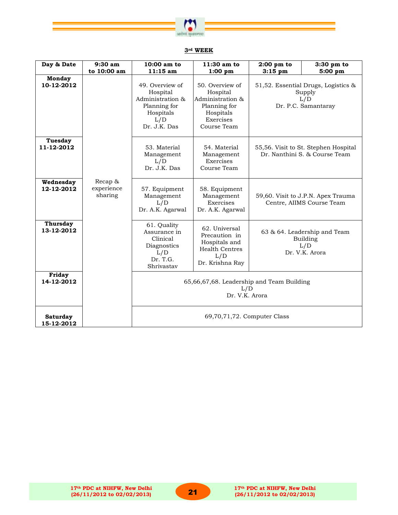

# **3rd WEEK**

| Day & Date                    | $9:30$ am                        | 10:00 am to                                                                                         | 11:30 am to                                                                                              | $2:00 \text{ pm}$ to                                                  | $3:30$ pm to                                                                |
|-------------------------------|----------------------------------|-----------------------------------------------------------------------------------------------------|----------------------------------------------------------------------------------------------------------|-----------------------------------------------------------------------|-----------------------------------------------------------------------------|
|                               | to 10:00 am                      | $11:15$ am                                                                                          | 1:00~pm                                                                                                  | $3:15$ pm                                                             | 5:00~pm                                                                     |
| <b>Monday</b><br>10-12-2012   |                                  | 49. Overview of<br>Hospital<br>Administration &<br>Planning for<br>Hospitals<br>L/D<br>Dr. J.K. Das | 50. Overview of<br>Hospital<br>Administration &<br>Planning for<br>Hospitals<br>Exercises<br>Course Team |                                                                       | 51,52. Essential Drugs, Logistics &<br>Supply<br>L/D<br>Dr. P.C. Samantaray |
| <b>Tuesday</b><br>11-12-2012  |                                  | 53. Material<br>Management<br>L/D<br>Dr. J.K. Das                                                   | 54. Material<br>Management<br>Exercises<br>Course Team                                                   | 55,56. Visit to St. Stephen Hospital<br>Dr. Nanthini S. & Course Team |                                                                             |
| Wednesday<br>12-12-2012       | Recap &<br>experience<br>sharing | 57. Equipment<br>Management<br>L/D<br>Dr. A.K. Agarwal                                              | 58. Equipment<br>Management<br>Exercises<br>Dr. A.K. Agarwal                                             |                                                                       | 59,60. Visit to J.P.N. Apex Trauma<br>Centre, AIIMS Course Team             |
| <b>Thursday</b><br>13-12-2012 |                                  | 61. Quality<br>Assurance in<br>Clinical<br>Diagnostics<br>L/D<br>Dr. T.G.<br>Shrivastav             | 62. Universal<br>Precaution in<br>Hospitals and<br><b>Health Centres</b><br>L/D<br>Dr. Krishna Ray       | 63 & 64. Leadership and Team<br>Building<br>L/D<br>Dr. V.K. Arora     |                                                                             |
| Friday<br>14-12-2012          |                                  |                                                                                                     | 65,66,67,68. Leadership and Team Building<br>L/D<br>Dr. V.K. Arora                                       |                                                                       |                                                                             |
| <b>Saturday</b><br>15-12-2012 |                                  |                                                                                                     | 69,70,71,72. Computer Class                                                                              |                                                                       |                                                                             |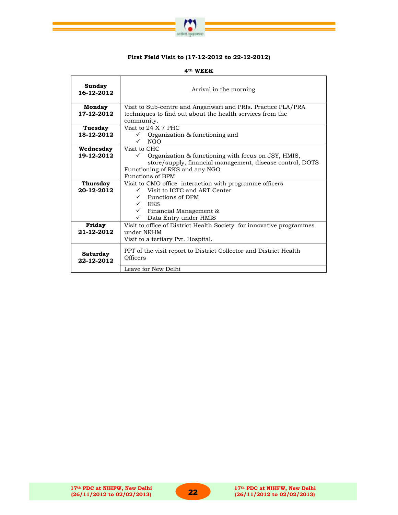

#### **First Field Visit to (17-12-2012 to 22-12-2012)**

| Sunday<br>16-12-2012   | Arrival in the morning                                                        |  |  |  |  |  |  |
|------------------------|-------------------------------------------------------------------------------|--|--|--|--|--|--|
| Monday                 | Visit to Sub-centre and Anganwari and PRIs. Practice PLA/PRA                  |  |  |  |  |  |  |
| 17-12-2012             | techniques to find out about the health services from the<br>community.       |  |  |  |  |  |  |
| Tuesday                | Visit to 24 X 7 PHC                                                           |  |  |  |  |  |  |
| 18-12-2012             | $\checkmark$ Organization & functioning and                                   |  |  |  |  |  |  |
|                        | $\sqrt{N}$ NGO                                                                |  |  |  |  |  |  |
| Wednesday              | Visit to CHC                                                                  |  |  |  |  |  |  |
| 19-12-2012             | Organization & functioning with focus on JSY, HMIS,<br>$\checkmark$           |  |  |  |  |  |  |
|                        | store/supply, financial management, disease control, DOTS                     |  |  |  |  |  |  |
|                        | Functioning of RKS and any NGO<br><b>Functions of BPM</b>                     |  |  |  |  |  |  |
| Thursday               | Visit to CMO office interaction with programme officers                       |  |  |  |  |  |  |
| 20-12-2012             | $\checkmark$ Visit to ICTC and ART Center                                     |  |  |  |  |  |  |
|                        | $\checkmark$ Functions of DPM                                                 |  |  |  |  |  |  |
|                        | $\sqrt{8}$ RKS                                                                |  |  |  |  |  |  |
|                        | $\checkmark$ Financial Management &                                           |  |  |  |  |  |  |
|                        | Data Entry under HMIS<br>✓                                                    |  |  |  |  |  |  |
| Friday<br>21-12-2012   | Visit to office of District Health Society for innovative programmes          |  |  |  |  |  |  |
|                        | under NRHM                                                                    |  |  |  |  |  |  |
|                        | Visit to a tertiary Pvt. Hospital.                                            |  |  |  |  |  |  |
| Saturday<br>22-12-2012 | PPT of the visit report to District Collector and District Health<br>Officers |  |  |  |  |  |  |
|                        | Leave for New Delhi                                                           |  |  |  |  |  |  |

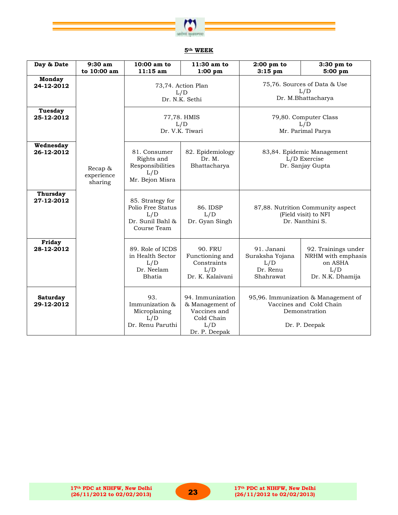

| Day & Date                    | 9:30 am<br>to 10:00 am           | 10:00 am to<br>$11:15$ am                                                       | 11:30 am to<br>1:00~pm                                                                    | $2:00$ pm to<br>$3:15$ pm                                                                                                                        | 3:30 pm to<br>5:00 pm |
|-------------------------------|----------------------------------|---------------------------------------------------------------------------------|-------------------------------------------------------------------------------------------|--------------------------------------------------------------------------------------------------------------------------------------------------|-----------------------|
| <b>Monday</b><br>24-12-2012   |                                  | 73,74. Action Plan<br>L/D<br>Dr. N.K. Sethi                                     |                                                                                           | 75,76. Sources of Data & Use<br>L/D<br>Dr. M.Bhattacharya                                                                                        |                       |
| <b>Tuesday</b><br>25-12-2012  |                                  | 77,78. HMIS<br>L/D<br>Dr. V.K. Tiwari                                           |                                                                                           | 79,80. Computer Class<br>L/D<br>Mr. Parimal Parya                                                                                                |                       |
| Wednesday<br>26-12-2012       | Recap &<br>experience<br>sharing | 81. Consumer<br>Rights and<br>Responsibilities<br>L/D<br>Mr. Bejon Misra        | 82. Epidemiology<br>Dr. M.<br>Bhattacharya                                                | 83,84. Epidemic Management<br>L/D Exercise<br>Dr. Sanjay Gupta                                                                                   |                       |
| <b>Thursday</b><br>27-12-2012 |                                  | 85. Strategy for<br>Polio Free Status<br>L/D<br>Dr. Sunil Bahl &<br>Course Team | 86. IDSP<br>L/D<br>Dr. Gyan Singh                                                         | 87,88. Nutrition Community aspect<br>(Field visit) to NFI<br>Dr. Nanthini S.                                                                     |                       |
| Friday<br>28-12-2012          |                                  | 89. Role of ICDS<br>in Health Sector<br>L/D<br>Dr. Neelam<br>Bhatia             | <b>90. FRU</b><br>Functioning and<br>Constraints<br>L/D<br>Dr. K. Kalaivani               | 91. Janani<br>92. Trainings under<br>Suraksha Yojana<br>NRHM with emphasis<br>on ASHA<br>L/D<br>Dr. Renu<br>L/D<br>Shahrawat<br>Dr. N.K. Dhamija |                       |
| <b>Saturday</b><br>29-12-2012 |                                  | 93.<br>Immunization &<br>Microplaning<br>L/D<br>Dr. Renu Paruthi                | 94. Immunization<br>& Management of<br>Vaccines and<br>Cold Chain<br>L/D<br>Dr. P. Deepak | 95,96. Immunization & Management of<br>Vaccines and Cold Chain<br>Demonstration<br>Dr. P. Deepak                                                 |                       |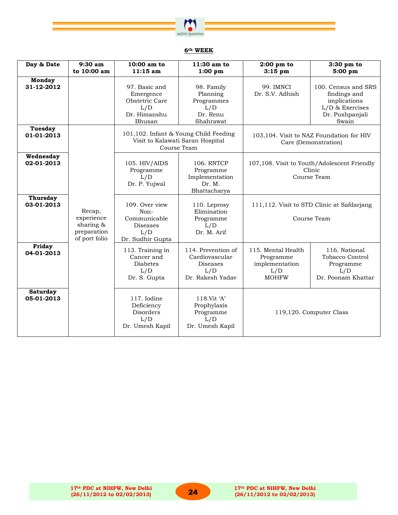

| Day & Date                    | $9:30$ am<br>to 10:00 am                                          | 10:00 am to<br>$11:15$ am                                                            | 11:30 am to<br>$1:00~\text{pm}$                                                          | $2:00$ pm to<br>$3:15$ pm                                                | 3:30 pm to<br>5:00 pm                                                                              |  |
|-------------------------------|-------------------------------------------------------------------|--------------------------------------------------------------------------------------|------------------------------------------------------------------------------------------|--------------------------------------------------------------------------|----------------------------------------------------------------------------------------------------|--|
| <b>Monday</b><br>31-12-2012   |                                                                   | 97. Basic and<br>Emergence<br>Obstetric Care<br>L/D<br>Dr. Himanshu<br>Bhusan        | 98. Family<br>Planning<br>Programmes<br>L/D<br>Dr. Renu<br>Shahrawat                     | 99. IMNCI<br>Dr. S.V. Adhish                                             | 100. Census and SRS<br>findings and<br>implications<br>L/D & Exercises<br>Dr. Pushpanjali<br>Swain |  |
| <b>Tuesday</b><br>01-01-2013  |                                                                   |                                                                                      | 101,102. Infant & Young Child Feeding<br>Visit to Kalawati Saran Hospital<br>Course Team |                                                                          | 103,104. Visit to NAZ Foundation for HIV<br>Care (Demonstration)                                   |  |
| Wednesday<br>02-01-2013       |                                                                   | 105. HIV/AIDS<br>Programme<br>L/D<br>Dr. P. Yujwal                                   | <b>106. RNTCP</b><br>Programme<br>Implementation<br>Dr. M.<br>Bhattacharya               |                                                                          | 107,108. Visit to Youth/Adolescent Friendly<br>Clinic<br>Course Team                               |  |
| <b>Thursday</b><br>03-01-2013 | Recap,<br>experience<br>sharing &<br>preparation<br>of port folio | 109. Over view<br>Non-<br>Communicable<br><b>Diseases</b><br>L/D<br>Dr. Sudhir Gupta | 110. Leprosy<br>Elimination<br>Programme<br>L/D<br>Dr. M. Arif                           | 111,112. Visit to STD Clinic at Safdarjang<br>Course Team                |                                                                                                    |  |
| Friday<br>04-01-2013          |                                                                   | 113. Training in<br>Cancer and<br><b>Diabetes</b><br>L/D<br>Dr. S. Gupta             | 114. Prevention of<br>Cardiovascular<br><b>Diseases</b><br>L/D<br>Dr. Rakesh Yadav       | 115. Mental Health<br>Programme<br>implementation<br>L/D<br><b>MOHFW</b> | 116. National<br>Tobacco Control<br>Programme<br>L/D<br>Dr. Poonam Khattar                         |  |
| Saturday<br>05-01-2013        |                                                                   | 117. Iodine<br>Deficiency<br>Disorders<br>L/D<br>Dr. Umesh Kapil                     | 118.Vit 'A'<br>Prophylaxis<br>Programme<br>L/D<br>Dr. Umesh Kapil                        | 119,120. Computer Class                                                  |                                                                                                    |  |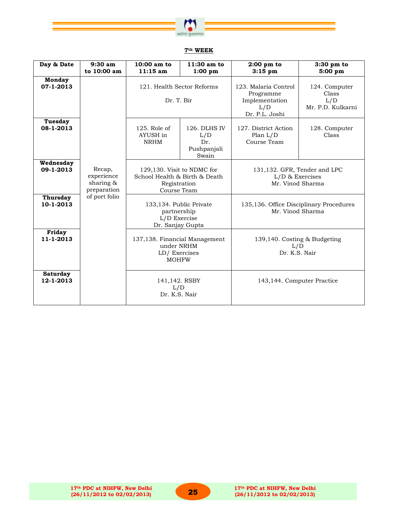

| Day & Date                   | 9:30 am<br>to 10:00 am                           | 10:00 am to<br>$11:15$ am                                                                  | 11:30 am to<br>1:00~pm                             | $2:00 \text{ pm}$ to<br>$3:15$ pm                                            | $3:30$ pm to<br>5:00~pm                            |
|------------------------------|--------------------------------------------------|--------------------------------------------------------------------------------------------|----------------------------------------------------|------------------------------------------------------------------------------|----------------------------------------------------|
| <b>Monday</b><br>07-1-2013   |                                                  | 121. Health Sector Reforms<br>Dr. T. Bir                                                   |                                                    | 123. Malaria Control<br>Programme<br>Implementation<br>L/D<br>Dr. P.L. Joshi | 124. Computer<br>Class<br>L/D<br>Mr. P.D. Kulkarni |
| Tuesday<br>08-1-2013         |                                                  | $125.$ Role of<br>AYUSH in<br><b>NRHM</b>                                                  | 126. DLHS IV<br>L/D<br>Dr.<br>Pushpanjali<br>Swain | 127. District Action<br>Plan $L/D$<br>Course Team                            | 128. Computer<br>Class                             |
| Wednesday<br>09-1-2013       | Recap,<br>experience<br>sharing &<br>preparation | 129,130. Visit to NDMC for<br>School Health & Birth & Death<br>Registration<br>Course Team |                                                    | 131,132. GFR, Tender and LPC<br>$L/D$ & Exercises<br>Mr. Vinod Sharma        |                                                    |
| <b>Thursday</b><br>10-1-2013 | of port folio                                    | 133,134. Public Private<br>partnership<br>L/D Exercise<br>Dr. Sanjay Gupta                 |                                                    | Mr. Vinod Sharma                                                             | 135,136. Office Disciplinary Procedures            |
| Friday<br>11-1-2013          |                                                  | 137,138. Financial Management<br>under NRHM<br>LD/Exercises<br><b>MOHFW</b>                |                                                    | L/D<br>Dr. K.S. Nair                                                         | 139,140. Costing & Budgeting                       |
| <b>Saturday</b><br>12-1-2013 |                                                  | 141,142. RSBY<br>L/D<br>Dr. K.S. Nair                                                      |                                                    | 143,144. Computer Practice                                                   |                                                    |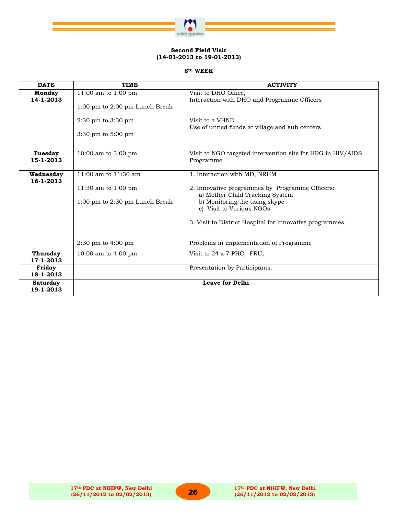

#### **Second Field Visit (14-01-2013 to 19-01-2013)**

| <b>DATE</b>                  | <b>TIME</b>                                                               | <b>ACTIVITY</b>                                                                              |
|------------------------------|---------------------------------------------------------------------------|----------------------------------------------------------------------------------------------|
| Monday<br>14-1-2013          | 11:00 am to 1:00 pm<br>$1:00 \text{ pm}$ to $2:00 \text{ pm}$ Lunch Break | Visit to DHO Office,<br>Interaction with DHO and Programme Officers                          |
|                              | 2:30 pm to 3:30 pm<br>3:30 pm to 5:00 pm                                  | Visit to a VHND<br>Use of untied funds at village and sub centers                            |
| Tuesday                      | 10:00 am to 3:00 pm                                                       | Visit to NGO targeted intervention site for HRG in HIV/AIDS                                  |
| 15-1-2013                    |                                                                           | Programme                                                                                    |
| Wednesday<br>16-1-2013       | 11:00 am to 11:30 am<br>11:30 am to 1:00 pm                               | 1. Interaction with MD, NRHM<br>2. Innovative programmes by Programme Officers:              |
|                              | $1:00$ pm to $2:30$ pm Lunch Break                                        | a) Mother Child Tracking System<br>b) Monitoring the using skype<br>c) Visit to Various NGOs |
|                              |                                                                           | 3. Visit to District Hospital for innovative programmes.                                     |
|                              | $2:30 \text{ pm}$ to $4:00 \text{ pm}$                                    | Problems in implementation of Programme                                                      |
| <b>Thursday</b><br>17-1-2013 | 10:00 am to 4:00 pm                                                       | Visit to 24 x 7 PHC, FRU,                                                                    |
| Friday<br>18-1-2013          |                                                                           | Presentation by Participants.                                                                |
| <b>Saturday</b><br>19-1-2013 |                                                                           | <b>Leave for Delhi</b>                                                                       |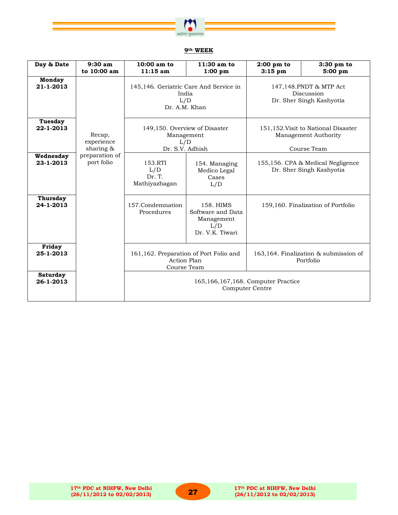

| Day & Date                   | $9:30$ am<br>to 10:00 am          | $10:00$ am to<br>$11:15$ am                                                 | $11:30$ am to<br>1:00~pm                                               | $2:00$ pm to<br>$3:15$ pm                                     | 3:30 pm to<br>5:00 pm                                                      |
|------------------------------|-----------------------------------|-----------------------------------------------------------------------------|------------------------------------------------------------------------|---------------------------------------------------------------|----------------------------------------------------------------------------|
| <b>Monday</b><br>21-1-2013   |                                   | 145,146. Geriatric Care And Service in<br>India<br>L/D<br>Dr. A.M. Khan     |                                                                        |                                                               | 147,148. PNDT & MTP Act<br>Discussion<br>Dr. Sher Singh Kashyotia          |
| Tuesday<br>22-1-2013         | Recap,<br>experience<br>sharing & | 149,150. Overview of Disaster<br>Management<br>L/D<br>Dr. S.V. Adhish       |                                                                        |                                                               | 151,152. Visit to National Disaster<br>Management Authority<br>Course Team |
| Wednesday<br>23-1-2013       | preparation of<br>port folio      | 153.RTI<br>L/D<br>Dr. T.<br>Mathiyazhagan                                   | 154. Managing<br>Medico Legal<br>Cases<br>L/D                          | 155,156. CPA & Medical Negligence<br>Dr. Sher Singh Kashyotia |                                                                            |
| <b>Thursday</b><br>24-1-2013 |                                   | 157.Condemnation<br>Procedures                                              | 158. HIMS<br>Software and Data<br>Management<br>L/D<br>Dr. V.K. Tiwari | 159,160. Finalization of Portfolio                            |                                                                            |
| Friday<br>25-1-2013          |                                   | 161,162. Preparation of Port Folio and<br><b>Action Plan</b><br>Course Team |                                                                        |                                                               | 163,164. Finalization & submission of<br>Portfolio                         |
| <b>Saturday</b><br>26-1-2013 |                                   | 165,166,167,168. Computer Practice<br>Computer Centre                       |                                                                        |                                                               |                                                                            |

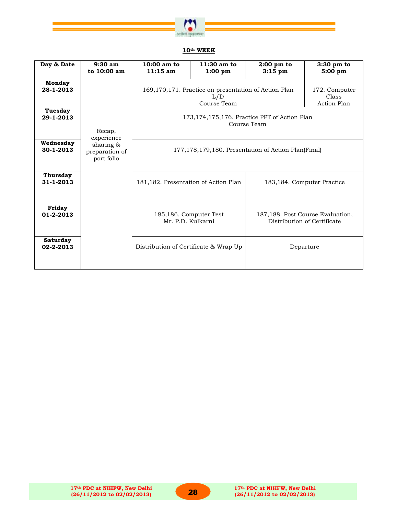

| Day & Date                   | $9:30$ am<br>to 10:00 am                  | $10:00$ am to<br>11:15 am                           | $11:30$ am to<br>1:00~pm                                                   | $2:00$ pm to<br>$3:15$ pm                                      | 3:30 pm to<br>5:00 pm                                           |  |
|------------------------------|-------------------------------------------|-----------------------------------------------------|----------------------------------------------------------------------------|----------------------------------------------------------------|-----------------------------------------------------------------|--|
| Monday<br>28-1-2013          |                                           |                                                     | 169,170,171. Practice on presentation of Action Plan<br>L/D<br>Course Team |                                                                | 172. Computer<br>Class<br>Action Plan                           |  |
| <b>Tuesday</b><br>29-1-2013  | Recap,<br>experience                      |                                                     |                                                                            | 173, 174, 175, 176. Practice PPT of Action Plan<br>Course Team |                                                                 |  |
| Wednesday<br>30-1-2013       | sharing &<br>preparation of<br>port folio | 177,178,179,180. Presentation of Action Plan(Final) |                                                                            |                                                                |                                                                 |  |
| <b>Thursday</b><br>31-1-2013 |                                           | 181,182. Presentation of Action Plan                | 183,184. Computer Practice                                                 |                                                                |                                                                 |  |
| Friday<br>01-2-2013          |                                           | 185,186. Computer Test<br>Mr. P.D. Kulkarni         |                                                                            |                                                                | 187,188. Post Course Evaluation,<br>Distribution of Certificate |  |
| <b>Saturday</b><br>02-2-2013 |                                           | Distribution of Certificate & Wrap Up               |                                                                            |                                                                | Departure                                                       |  |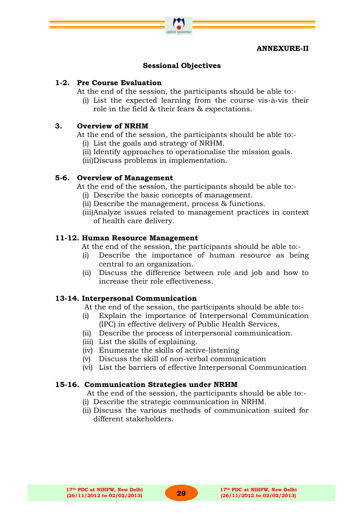#### **ANNEXURE-II**

# **Sessional Objectives**

# **1-2. Pre Course Evaluation**

At the end of the session, the participants should be able to:-

(i) List the expected learning from the course vis-à-vis their role in the field & their fears & expectations.

# **3. Overview of NRHM**

At the end of the session, the participants should be able to:-

- (i) List the goals and strategy of NRHM.
- (ii) Identify approaches to operationalise the mission goals.
- (iii)Discuss problems in implementation.

# **5-6. Overview of Management**

At the end of the session, the participants should be able to:-

- (i) Describe the basic concepts of management.
- (ii) Describe the management, process & functions.
- (iii)Analyze issues related to management practices in context of health care delivery.

#### **11-12. Human Resource Management**

At the end of the session, the participants should be able to:-

- (i) Describe the importance of human resource as being central to an organization.
- (ii) Discuss the difference between role and job and how to increase their role effectiveness.

# **13-14. Interpersonal Communication**

At the end of the session, the participants should be able to:-

- (i) Explain the importance of Interpersonal Communication (IPC) in effective delivery of Public Health Services.
- (ii) Describe the process of interpersonal communication.
- (iii) List the skills of explaining.
- (iv) Enumerate the skills of active-listening
- (v) Discuss the skill of non-verbal communication
- (vi) List the barriers of effective Interpersonal Communication

#### **15-16. Communication Strategies under NRHM**

At the end of the session, the participants should be able to:-

- (i) Describe the strategic communication in NRHM.
- (ii) Discuss the various methods of communication suited for different stakeholders.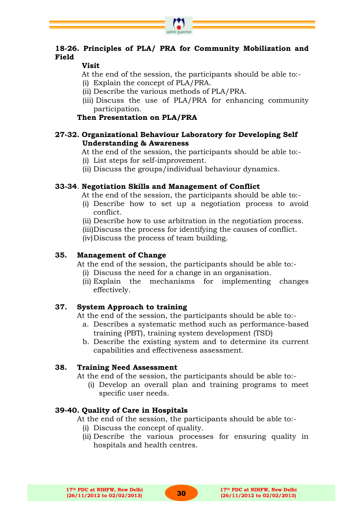# **18-26. Principles of PLA/ PRA for Community Mobilization and Field**

# **Visit**

- At the end of the session, the participants should be able to:-
- (i) Explain the concept of PLA/PRA.
- (ii) Describe the various methods of PLA/PRA.
- (iii) Discuss the use of PLA/PRA for enhancing community participation.

# **Then Presentation on PLA/PRA**

# **27-32. Organizational Behaviour Laboratory for Developing Self Understanding & Awareness**

At the end of the session, the participants should be able to:-

- (i) List steps for self-improvement.
- (ii) Discuss the groups/individual behaviour dynamics.

# **33-34**. **Negotiation Skills and Management of Conflict**

At the end of the session, the participants should be able to:-

- (i) Describe how to set up a negotiation process to avoid conflict.
- (ii) Describe how to use arbitration in the negotiation process.
- (iii)Discuss the process for identifying the causes of conflict.

(iv)Discuss the process of team building.

# **35. Management of Change**

At the end of the session, the participants should be able to:-

- (i) Discuss the need for a change in an organisation.
- (ii) Explain the mechanisms for implementing changes effectively.

# **37. System Approach to training**

At the end of the session, the participants should be able to:-

- a. Describes a systematic method such as performance-based training (PBT), training system development (TSD)
- b. Describe the existing system and to determine its current capabilities and effectiveness assessment.

# **38. Training Need Assessment**

At the end of the session, the participants should be able to:-

(i) Develop an overall plan and training programs to meet specific user needs.

# **39-40. Quality of Care in Hospitals**

At the end of the session, the participants should be able to:-

- (i) Discuss the concept of quality.
- (ii) Describe the various processes for ensuring quality in hospitals and health centres.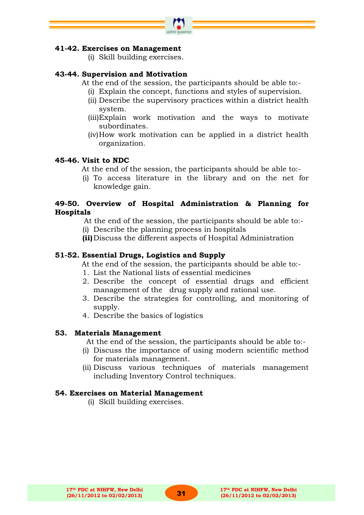

# **41-42. Exercises on Management**

(i) Skill building exercises.

# **43-44. Supervision and Motivation**

- At the end of the session, the participants should be able to:-
	- (i) Explain the concept, functions and styles of supervision.
	- (ii) Describe the supervisory practices within a district health system.
	- (iii)Explain work motivation and the ways to motivate subordinates.
	- (iv)How work motivation can be applied in a district health organization.

# **45-46. Visit to NDC**

- At the end of the session, the participants should be able to:-
- (i) To access literature in the library and on the net for knowledge gain.

# **49-50. Overview of Hospital Administration & Planning for Hospitals**

At the end of the session, the participants should be able to:-

- (i) Describe the planning process in hospitals
- **(ii)** Discuss the different aspects of Hospital Administration

# **51-52. Essential Drugs, Logistics and Supply**

At the end of the session, the participants should be able to:-

- 1. List the National lists of essential medicines
- 2. Describe the concept of essential drugs and efficient management of the drug supply and rational use.
- 3. Describe the strategies for controlling, and monitoring of supply.
- 4. Describe the basics of logistics

# **53. Materials Management**

At the end of the session, the participants should be able to:-

- (i) Discuss the importance of using modern scientific method for materials management.
- (ii) Discuss various techniques of materials management including Inventory Control techniques.

# **54. Exercises on Material Management**

(i) Skill building exercises.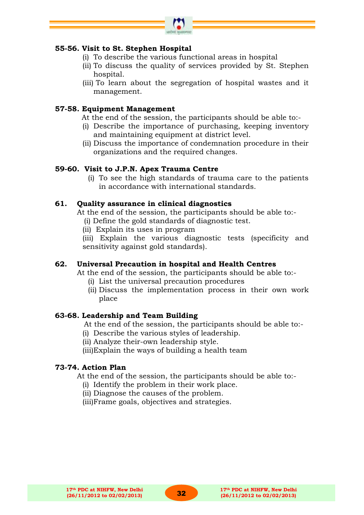

# **55-56. Visit to St. Stephen Hospital**

- (i) To describe the various functional areas in hospital
- (ii) To discuss the quality of services provided by St. Stephen hospital.
- (iii) To learn about the segregation of hospital wastes and it management.

## **57-58. Equipment Management**

- At the end of the session, the participants should be able to:-
- (i) Describe the importance of purchasing, keeping inventory and maintaining equipment at district level.
- (ii) Discuss the importance of condemnation procedure in their organizations and the required changes.

## **59-60. Visit to J.P.N. Apex Trauma Centre**

(i) To see the high standards of trauma care to the patients in accordance with international standards.

## **61. Quality assurance in clinical diagnostics**

At the end of the session, the participants should be able to:- (i) Define the gold standards of diagnostic test.

(ii) Explain its uses in program

(iii) Explain the various diagnostic tests (specificity and sensitivity against gold standards).

# **62. Universal Precaution in hospital and Health Centres**

At the end of the session, the participants should be able to:-

- (i) List the universal precaution procedures
- (ii) Discuss the implementation process in their own work place

#### **63-68. Leadership and Team Building**

At the end of the session, the participants should be able to:-

- (i) Describe the various styles of leadership.
- (ii) Analyze their-own leadership style.

(iii)Explain the ways of building a health team

#### **73-74. Action Plan**

At the end of the session, the participants should be able to:-

(i) Identify the problem in their work place.

(ii) Diagnose the causes of the problem.

(iii)Frame goals, objectives and strategies.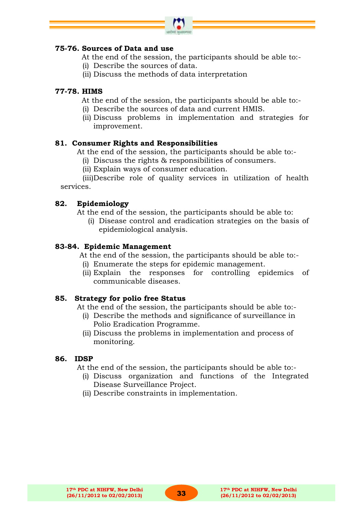

# **75-76. Sources of Data and use**

- At the end of the session, the participants should be able to:-
- (i) Describe the sources of data.
- (ii) Discuss the methods of data interpretation

# **77-78. HIMS**

- At the end of the session, the participants should be able to:-
- (i) Describe the sources of data and current HMIS.
- (ii) Discuss problems in implementation and strategies for improvement.

## **81. Consumer Rights and Responsibilities**

At the end of the session, the participants should be able to:-

- (i) Discuss the rights & responsibilities of consumers.
- (ii) Explain ways of consumer education.

(iii)Describe role of quality services in utilization of health services.

## **82. Epidemiology**

- At the end of the session, the participants should be able to:
	- (i) Disease control and eradication strategies on the basis of epidemiological analysis.

#### **83-84. Epidemic Management**

At the end of the session, the participants should be able to:-

- (i) Enumerate the steps for epidemic management.
- (ii) Explain the responses for controlling epidemics of communicable diseases.

#### **85. Strategy for polio free Status**

At the end of the session, the participants should be able to:-

- (i) Describe the methods and significance of surveillance in Polio Eradication Programme.
- (ii) Discuss the problems in implementation and process of monitoring.

#### **86. IDSP**

At the end of the session, the participants should be able to:-

- (i) Discuss organization and functions of the Integrated Disease Surveillance Project.
- (ii) Describe constraints in implementation.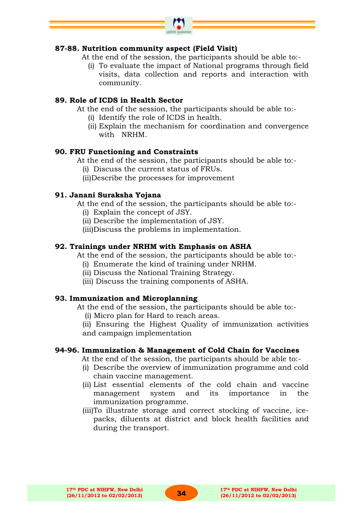

# **87-88. Nutrition community aspect (Field Visit)**

At the end of the session, the participants should be able to:-

(i) To evaluate the impact of National programs through field visits, data collection and reports and interaction with community.

# **89. Role of ICDS in Health Sector**

At the end of the session, the participants should be able to:-

- (i) Identify the role of ICDS in health.
- (ii) Explain the mechanism for coordination and convergence with NRHM.

#### **90. FRU Functioning and Constraints**

At the end of the session, the participants should be able to:-

- (i) Discuss the current status of FRUs.
- (ii)Describe the processes for improvement

## **91. Janani Suraksha Yojana**

At the end of the session, the participants should be able to:-

- (i) Explain the concept of JSY.
- (ii) Describe the implementation of JSY.
- (iii)Discuss the problems in implementation.

## **92. Trainings under NRHM with Emphasis on ASHA**

At the end of the session, the participants should be able to:-

- (i) Enumerate the kind of training under NRHM.
- (ii) Discuss the National Training Strategy.
- (iii) Discuss the training components of ASHA.

#### **93. Immunization and Microplanning**

At the end of the session, the participants should be able to:-

(i) Micro plan for Hard to reach areas.

(ii) Ensuring the Highest Quality of immunization activities and campaign implementation

#### **94-96. Immunization & Management of Cold Chain for Vaccines**

At the end of the session, the participants should be able to:-

- (i) Describe the overview of immunization programme and cold chain vaccine management.
- (ii) List essential elements of the cold chain and vaccine management system and its importance in the immunization programme.
- (iii)To illustrate storage and correct stocking of vaccine, icepacks, diluents at district and block health facilities and during the transport.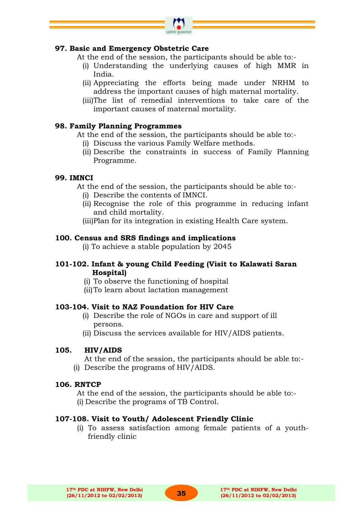

#### **97. Basic and Emergency Obstetric Care**

At the end of the session, the participants should be able to:-

- (i) Understanding the underlying causes of high MMR in India.
- (ii) Appreciating the efforts being made under NRHM to address the important causes of high maternal mortality.
- (iii)The list of remedial interventions to take care of the important causes of maternal mortality.

## **98. Family Planning Programmes**

At the end of the session, the participants should be able to:-

- (i) Discuss the various Family Welfare methods.
- (ii) Describe the constraints in success of Family Planning Programme.

## **99. IMNCI**

At the end of the session, the participants should be able to:-

- (i) Describe the contents of IMNCI.
- (ii) Recognise the role of this programme in reducing infant and child mortality.
- (iii)Plan for its integration in existing Health Care system.

# **100. Census and SRS findings and implications**

(i) To achieve a stable population by 2045

## **101-102. Infant & young Child Feeding (Visit to Kalawati Saran Hospital)**

- (i) To observe the functioning of hospital
- (ii)To learn about lactation management

# **103-104. Visit to NAZ Foundation for HIV Care**

- (i) Describe the role of NGOs in care and support of ill persons.
- (ii) Discuss the services available for HIV/AIDS patients.

#### **105. HIV/AIDS**

At the end of the session, the participants should be able to:- (i) Describe the programs of HIV/AIDS.

#### **106. RNTCP**

At the end of the session, the participants should be able to:- (i) Describe the programs of TB Control.

# **107-108. Visit to Youth/ Adolescent Friendly Clinic**

(i) To assess satisfaction among female patients of a youthfriendly clinic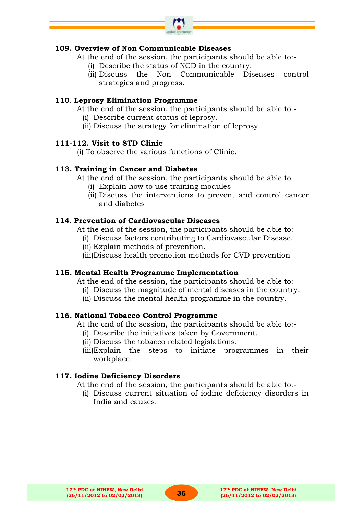

# **109. Overview of Non Communicable Diseases**

At the end of the session, the participants should be able to:-

- (i) Describe the status of NCD in the country.
- (ii) Discuss the Non Communicable Diseases control strategies and progress.

#### **110**. **Leprosy Elimination Programme**

At the end of the session, the participants should be able to:-

- (i) Describe current status of leprosy.
- (ii) Discuss the strategy for elimination of leprosy.

#### **111-112. Visit to STD Clinic**

(i) To observe the various functions of Clinic.

#### **113. Training in Cancer and Diabetes**

- At the end of the session, the participants should be able to
	- (i) Explain how to use training modules
	- (ii) Discuss the interventions to prevent and control cancer and diabetes

#### **114**. **Prevention of Cardiovascular Diseases**

At the end of the session, the participants should be able to:-

- (i) Discuss factors contributing to Cardiovascular Disease.
- (ii) Explain methods of prevention.
- (iii)Discuss health promotion methods for CVD prevention

#### **115. Mental Health Programme Implementation**

At the end of the session, the participants should be able to:-

- (i) Discuss the magnitude of mental diseases in the country.
- (ii) Discuss the mental health programme in the country.

#### **116. National Tobacco Control Programme**

At the end of the session, the participants should be able to:-

- (i) Describe the initiatives taken by Government.
- (ii) Discuss the tobacco related legislations.
- (iii)Explain the steps to initiate programmes in their workplace.

#### **117. Iodine Deficiency Disorders**

- At the end of the session, the participants should be able to:-
	- (i) Discuss current situation of iodine deficiency disorders in India and causes.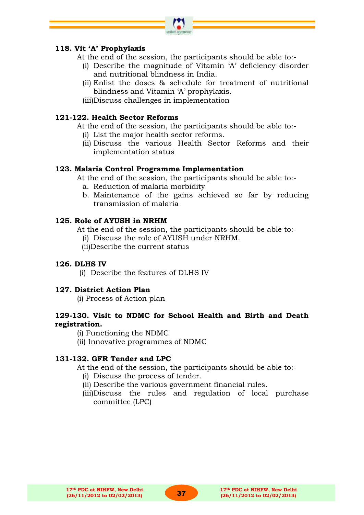# **118. Vit "A" Prophylaxis**

At the end of the session, the participants should be able to:-

- (i) Describe the magnitude of Vitamin "A" deficiency disorder and nutritional blindness in India.
- (ii) Enlist the doses & schedule for treatment of nutritional blindness and Vitamin "A" prophylaxis.
- (iii)Discuss challenges in implementation

## **121-122. Health Sector Reforms**

At the end of the session, the participants should be able to:-

- (i) List the major health sector reforms.
- (ii) Discuss the various Health Sector Reforms and their implementation status

#### **123. Malaria Control Programme Implementation**

At the end of the session, the participants should be able to:-

- a. Reduction of malaria morbidity
- b. Maintenance of the gains achieved so far by reducing transmission of malaria

#### **125. Role of AYUSH in NRHM**

At the end of the session, the participants should be able to:-

- (i) Discuss the role of AYUSH under NRHM.
- (ii)Describe the current status

#### **126. DLHS IV**

(i) Describe the features of DLHS IV

#### **127. District Action Plan**

(i) Process of Action plan

# **129-130. Visit to NDMC for School Health and Birth and Death registration.**

(i) Functioning the NDMC

(ii) Innovative programmes of NDMC

#### **131-132. GFR Tender and LPC**

At the end of the session, the participants should be able to:-

- (i) Discuss the process of tender.
- (ii) Describe the various government financial rules.
- (iii)Discuss the rules and regulation of local purchase committee (LPC)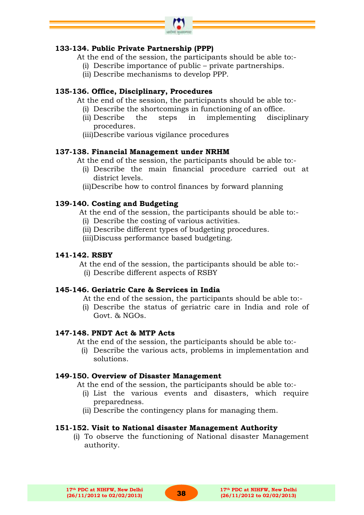

# **133-134. Public Private Partnership (PPP)**

- At the end of the session, the participants should be able to:-
	- (i) Describe importance of public private partnerships.
	- (ii) Describe mechanisms to develop PPP.

# **135-136. Office, Disciplinary, Procedures**

At the end of the session, the participants should be able to:-

- (i) Describe the shortcomings in functioning of an office.
- (ii) Describe the steps in implementing disciplinary procedures.
- (iii)Describe various vigilance procedures

## **137-138. Financial Management under NRHM**

At the end of the session, the participants should be able to:-

- (i) Describe the main financial procedure carried out at district levels.
- (ii)Describe how to control finances by forward planning

# **139-140. Costing and Budgeting**

At the end of the session, the participants should be able to:-

- (i) Describe the costing of various activities.
- (ii) Describe different types of budgeting procedures.
- (iii)Discuss performance based budgeting.

#### **141-142. RSBY**

At the end of the session, the participants should be able to:-

(i) Describe different aspects of RSBY

# **145-146. Geriatric Care & Services in India**

- At the end of the session, the participants should be able to:-
- (i) Describe the status of geriatric care in India and role of Govt. & NGOs.

#### **147-148. PNDT Act & MTP Acts**

At the end of the session, the participants should be able to:-

(i) Describe the various acts, problems in implementation and solutions.

#### **149-150. Overview of Disaster Management**

At the end of the session, the participants should be able to:-

- (i) List the various events and disasters, which require preparedness.
- (ii) Describe the contingency plans for managing them.

# **151-152. Visit to National disaster Management Authority**

(i) To observe the functioning of National disaster Management authority.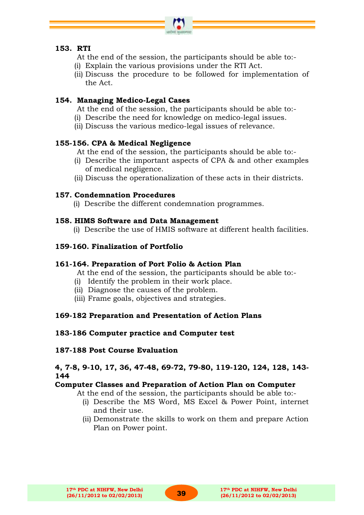

# **153. RTI**

- At the end of the session, the participants should be able to:-
- (i) Explain the various provisions under the RTI Act.
- (ii) Discuss the procedure to be followed for implementation of the Act.

# **154. Managing Medico-Legal Cases**

At the end of the session, the participants should be able to:-

- (i) Describe the need for knowledge on medico-legal issues.
- (ii) Discuss the various medico-legal issues of relevance.

# **155-156. CPA & Medical Negligence**

At the end of the session, the participants should be able to:-

- (i) Describe the important aspects of CPA & and other examples of medical negligence.
- (ii) Discuss the operationalization of these acts in their districts.

# **157. Condemnation Procedures**

(i) Describe the different condemnation programmes.

# **158. HIMS Software and Data Management**

(i) Describe the use of HMIS software at different health facilities.

# **159-160. Finalization of Portfolio**

# **161-164. Preparation of Port Folio & Action Plan**

At the end of the session, the participants should be able to:-

- (i) Identify the problem in their work place.
- (ii) Diagnose the causes of the problem.
- (iii) Frame goals, objectives and strategies.

# **169-182 Preparation and Presentation of Action Plans**

# **183-186 Computer practice and Computer test**

# **187-188 Post Course Evaluation**

# **4, 7-8, 9-10, 17, 36, 47-48, 69-72, 79-80, 119-120, 124, 128, 143- 144**

# **Computer Classes and Preparation of Action Plan on Computer**

At the end of the session, the participants should be able to:-

- (i) Describe the MS Word, MS Excel & Power Point, internet and their use.
- (ii) Demonstrate the skills to work on them and prepare Action Plan on Power point.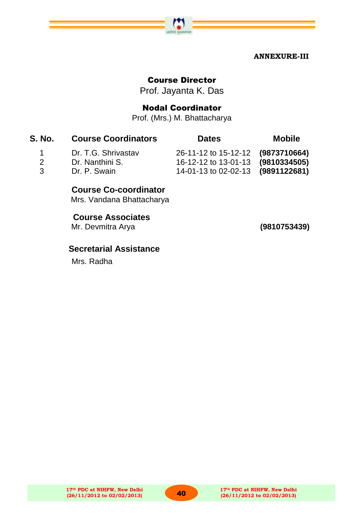

# Course Director

Prof. Jayanta K. Das

# Nodal Coordinator

Prof. (Mrs.) M. Bhattacharya

| <b>S. No.</b> | <b>Course Coordinators</b> | <b>Dates</b>                      | <b>Mobile</b> |
|---------------|----------------------------|-----------------------------------|---------------|
| $\sim$ 1      | Dr. T.G. Shrivastav        | 26-11-12 to 15-12-12 (9873710664) |               |
| $\mathcal{P}$ | Dr. Nanthini S.            | 16-12-12 to 13-01-13 (9810334505) |               |
| $\mathbf{R}$  | Dr. P. Swain               | 14-01-13 to 02-02-13 (9891122681) |               |

# **Course Co-coordinator**

Mrs. Vandana Bhattacharya

# **Course Associates**

Mr. Devmitra Arya **(9810753439)**

# **Secretarial Assistance**

Mrs. Radha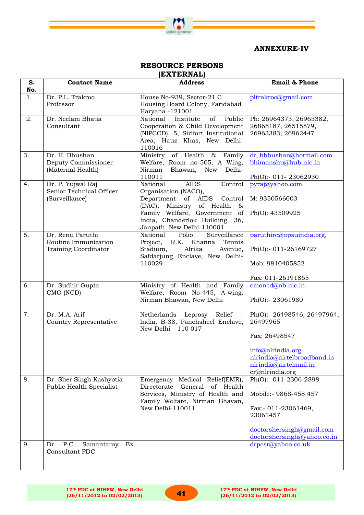

#### **ANNEXURE-IV**

# **RESOURCE PERSONS**

|  | __         |  |  |  |
|--|------------|--|--|--|
|  |            |  |  |  |
|  | (EXTERNAL) |  |  |  |
|  |            |  |  |  |

| S.<br>No. | <b>Contact Name</b>                                                     | <b>Address</b>                                                                                                                                                                                                                 | Email & Phone                                                                                                                                             |
|-----------|-------------------------------------------------------------------------|--------------------------------------------------------------------------------------------------------------------------------------------------------------------------------------------------------------------------------|-----------------------------------------------------------------------------------------------------------------------------------------------------------|
| 1.        | Dr. P.L. Trakroo<br>Professor                                           | House No-939, Sector-21 C<br>Housing Board Colony, Faridabad<br>Haryana -121001                                                                                                                                                | pltrakroo@gmail.com                                                                                                                                       |
| 2.        | Dr. Neelam Bhatia<br>Consultant                                         | National<br>Public<br>Institute<br>of<br>Cooperation & Child Development<br>(NIPCCD), 5, Sirifort Institutional<br>Area, Hauz Khas, New Delhi-<br>110016                                                                       | Ph: 26964373, 26963382,<br>26865187, 26515579,<br>26963383, 26962447                                                                                      |
| 3.        | Dr. H. Bhushan<br>Deputy Commissioner<br>(Maternal Health)              | Ministry of Health & Family<br>Welfare, Room no-505, A Wing,<br>Nirman<br>Bhawan,<br>New<br>Delhi-<br>110011                                                                                                                   | dr_hbhushan@hotmail.com<br>bhimanshu@hub.nic.in<br>Ph(O):- 011-23062930                                                                                   |
| 4.        | Dr. P. Yujwal Raj<br>Senior Technical Officer<br>(Surveillance)         | National<br><b>AIDS</b><br>Control<br>Organisation (NACO),<br>Department of AIDS<br>Control<br>(DAC), Ministry of Health<br>&<br>Family Welfare, Government of<br>India, Chanderlok Building, 36,<br>Janpath, New Delhi-110001 | pyraj@yahoo.com<br>M: 9350566003<br>Ph(O): 43509925                                                                                                       |
| 5.        | Dr. Renu Paruthi<br>Routine Immunization<br><b>Training Coordinator</b> | National<br>Polio<br>Surveillance<br>R.K. Khanna<br>Tennis<br>Project,<br>Afrika<br>Stadium,<br>Avenue,<br>Safdarjung Enclave, New Delhi-<br>110029                                                                            | paruthire@npsuindia.org,<br>Ph(O):- 011-26169727<br>Mob: 9810405852<br>Fax: 011-26191865                                                                  |
| 6.        | Dr. Sudhir Gupta<br>CMO (NCD)                                           | Ministry of Health and Family<br>Welfare, Room No-445, A-wing,<br>Nirman Bhawan, New Delhi                                                                                                                                     | cmoncd@nb.nic.in<br>Ph(O):- 23061980                                                                                                                      |
| 7.        | Dr. M.A. Arif<br>Country Representative                                 | Netherlands Leprosy Relief -<br>India, B-38, Panchsheel Enclave,<br>New Delhi - 110 017                                                                                                                                        | Ph(O):- 26498546, 26497964,<br>26497965<br>Fax: 26498547<br>info@nlrindia.org<br>nlrindia@airtelbroadband.in<br>nlrindia@airtelmail.in<br>cr@nlrindia.org |
| 8.        | Dr. Sher Singh Kashyotia<br>Public Health Specialist                    | Emergency Medical Relief(EMR),<br>General<br>Directorate<br>of Health<br>Services, Ministry of Health and<br>Family Welfare, Nirman Bhavan,<br>New Delhi-110011                                                                | Ph(O):- 011-2306-2898<br>Mobile:- 9868-458 457<br>Fax:- 011-23061469,<br>23061457<br>doctorshersingh@gmail.com<br>doctorshersingh@yahoo.co.in             |
| 9.        | P.C.<br>Ex<br>Samantaray<br>Dr.<br>Consultant PDC                       |                                                                                                                                                                                                                                | drpcsr@yahoo.co.uk                                                                                                                                        |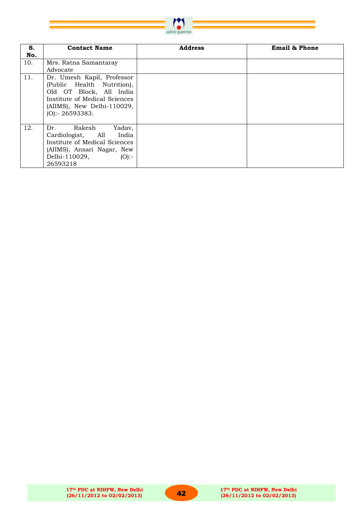

| S.  | <b>Contact Name</b>                                                                                                                                                  | <b>Address</b> | <b>Email &amp; Phone</b> |
|-----|----------------------------------------------------------------------------------------------------------------------------------------------------------------------|----------------|--------------------------|
| No. |                                                                                                                                                                      |                |                          |
| 10. | Mrs. Ratna Samantaray                                                                                                                                                |                |                          |
|     | Advocate                                                                                                                                                             |                |                          |
| 11. | Dr. Umesh Kapil, Professor<br>(Public Health Nutrition),<br>Old OT Block, All India<br>Institute of Medical Sciences<br>(AIIMS), New Delhi-110029,<br>(O): 26593383. |                |                          |
| 12. | Rakesh<br>Dr.<br>Yadav,<br>Cardiologist, All<br>India<br>Institute of Medical Sciences<br>(AIIMS), Ansari Nagar, New<br>Delhi-110029,<br>$(O)$ :-<br>26593218        |                |                          |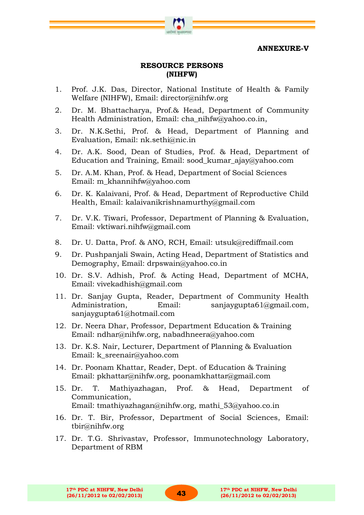**ANNEXURE-V**

# **RESOURCE PERSONS (NIHFW)**

- 1. Prof. J.K. Das, Director, National Institute of Health & Family Welfare (NIHFW), Email: director@nihfw.org
- 2. Dr. M. Bhattacharya, Prof.& Head, Department of Community Health Administration, Email: [cha\\_nihfw@yahoo.co.in,](mailto:cha_nihfw@yahoo.co.in)
- 3. Dr. N.K.Sethi, Prof. & Head, Department of Planning and Evaluation, Email: nk.sethi@nic.in
- 4. Dr. A.K. Sood, Dean of Studies, Prof. & Head, Department of Education and Training, Email: sood\_kumar\_ajay@yahoo.com
- 5. Dr. A.M. Khan, Prof. & Head, Department of Social Sciences Email: m\_khannihfw@yahoo.com
- 6. Dr. K. Kalaivani, Prof. & Head, Department of Reproductive Child Health, Email: kalaivanikrishnamurthy@gmail.com
- 7. Dr. V.K. Tiwari, Professor, Department of Planning & Evaluation, Email: vktiwari.nihfw@gmail.com
- 8. Dr. U. Datta, Prof. & ANO, RCH, Email: utsuk@rediffmail.com
- 9. Dr. Pushpanjali Swain, Acting Head, Department of Statistics and Demography, Email: drpswain@yahoo.co.in
- 10. Dr. S.V. Adhish, Prof. & Acting Head, Department of MCHA, Email: vivekadhish@gmail.com
- 11. Dr. Sanjay Gupta, Reader, Department of Community Health Administration, Email: [sanjaygupta61@gmail.com,](mailto:sanjaygupta61@gmail.com) sanjaygupta61@hotmail.com
- 12. Dr. Neera Dhar, Professor, Department Education & Training Email: [ndhar@nihfw.org,](mailto:ndhar@nihfw.org) nabadhneera@yahoo.com
- 13. Dr. K.S. Nair, Lecturer, Department of Planning & Evaluation Email: k\_sreenair@yahoo.com
- 14. Dr. Poonam Khattar, Reader, Dept. of Education & Training Email: [pkhattar@nihfw.org,](mailto:pkhattar@nihfw.org) poonamkhattar@gmail.com
- 15. Dr. T. Mathiyazhagan, Prof. & Head, Department of Communication, Email: [tmathiyazhagan@nihfw.org,](mailto:tmathiyazhagan@nihfw.org) [mathi\\_53@yahoo.co.in](mailto:mathi_53@yahoo.co.in)
- 16. Dr. T. Bir, Professor, Department of Social Sciences, Email: [tbir@nihfw.org](mailto:tbir@nihfw.org)
- 17. Dr. T.G. Shrivastav, Professor, Immunotechnology Laboratory, Department of RBM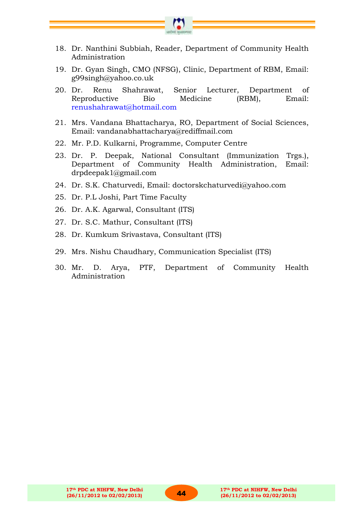

- 18. Dr. Nanthini Subbiah, Reader, Department of Community Health Administration
- 19. Dr. Gyan Singh, CMO (NFSG), Clinic, Department of RBM, Email: [g99singh@yahoo.co.uk](mailto:g99singh@yahoo.co.uk)
- 20. Dr. Renu Shahrawat, Senior Lecturer, Department of Reproductive Bio Medicine (RBM), Email: [renushahrawat@hotmail.com](mailto:renushahrawat@hotmail.com)
- 21. Mrs. Vandana Bhattacharya, RO, Department of Social Sciences, Email: vandanabhattacharya@rediffmail.com
- 22. Mr. P.D. Kulkarni, Programme, Computer Centre
- 23. Dr. P. Deepak, National Consultant (Immunization Trgs.), Department of Community Health Administration, Email: drpdeepak1@gmail.com
- 24. Dr. S.K. Chaturvedi, Email: doctorskchaturvedi@yahoo.com
- 25. Dr. P.L Joshi, Part Time Faculty
- 26. Dr. A.K. Agarwal, Consultant (ITS)
- 27. Dr. S.C. Mathur, Consultant (ITS)
- 28. Dr. Kumkum Srivastava, Consultant (ITS)
- 29. Mrs. Nishu Chaudhary, Communication Specialist (ITS)
- 30. Mr. D. Arya, PTF, Department of Community Health Administration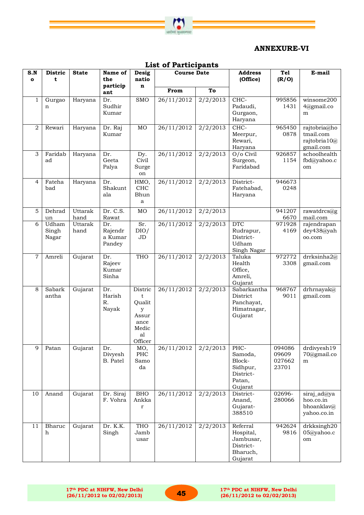

# **ANNEXURE-VI**

|                     | LIST OI FAILICIPAILS    |                 |                                     |                                                                        |                                |                     |                                                                         |                                    |                                                         |
|---------------------|-------------------------|-----------------|-------------------------------------|------------------------------------------------------------------------|--------------------------------|---------------------|-------------------------------------------------------------------------|------------------------------------|---------------------------------------------------------|
| S.N<br>$\mathbf{o}$ | <b>Distric</b><br>t     | <b>State</b>    | Name of<br>the<br>particip          | Desig<br>natio<br>$\mathbf n$                                          | <b>Course Date</b>             |                     | <b>Address</b><br>(Office)                                              | <b>Tel</b><br>(R/O)                | E-mail                                                  |
|                     |                         |                 | ant                                 |                                                                        | From                           | To                  |                                                                         |                                    |                                                         |
| $\mathbf{1}$        | Gurgao<br>n             | Haryana         | Dr.<br>Sudhir<br>Kumar              | <b>SMO</b>                                                             | $\frac{26}{11}{\sqrt{2012}}$   | $\frac{2}{2}{2013}$ | CHC-<br>Padaudi,<br>Gurgaon,<br>Haryana                                 | 995856<br>1431                     | winsome200<br>$4$ @gmail.co<br>m                        |
| $\overline{2}$      | Rewari                  | Haryana         | Dr. Raj<br>Kumar                    | MO                                                                     | 26/11/2012                     | 2/2/2013            | CHC-<br>Meerpur,<br>Rewari,<br>Haryana                                  | 965450<br>0878                     | rajtobria@ho<br>tmail.com<br>rajtobria 10@<br>gmail.com |
| 3                   | Faridab<br>ad           | Haryana         | Dr.<br>Geeta<br>Palya               | Dy.<br>Civil<br>Surge<br>on                                            | 26/11/2012                     | 2/2/2013            | O/o Civil<br>Surgeon,<br>Faridabad                                      | 926857<br>1154                     | schoolhealth<br>fbd@yahoo.c<br>om                       |
| $\overline{4}$      | Fateha<br>bad           | Haryana         | Dr.<br>Shakunt<br>ala               | HMO,<br>CHC<br>Bhun<br>a                                               | 26/11/2012                     | $\frac{2}{2}{2013}$ | District-<br>Fatehabad,<br>Haryana                                      | 946673<br>0248                     |                                                         |
| 5                   | Dehrad<br>un            | Uttarak<br>hand | Dr. C.S.<br>Rawat                   | MO                                                                     | 26/11/2012                     | 2/2/2013            |                                                                         | 941207<br>6670                     | rawatdrcs@g<br>mail.com                                 |
| 6                   | Udham<br>Singh<br>Nagar | Uttarak<br>hand | Dr.<br>Rajendr<br>a Kumar<br>Pandey | Sr.<br>DIO/<br>JD                                                      | 26/11/2012                     | $\frac{2}{2}{2013}$ | $_{\rm DTC}$<br>Rudrapur,<br>District-<br>Udham<br>Singh Nagar          | 971928<br>4169                     | rajendrapan<br>dey438@yah<br>oo.com                     |
| $\overline{7}$      | Amreli                  | Gujarat         | Dr.<br>Rajeev<br>Kumar<br>Sinha     | <b>THO</b>                                                             | 26/11/2012                     | 2/2/2013            | Taluka<br>Health<br>Office,<br>Amreli,<br>Gujarat                       | 972772<br>3308                     | drrksinha2@<br>gmail.com                                |
| 8                   | Sabark<br>antha         | Gujarat         | Dr.<br>Harish<br>R.<br>Nayak        | Distric<br>t<br>Qualit<br>y<br>Assur<br>ance<br>Medic<br>al<br>Officer | 26/11/2012                     | 2/2/2013            | Sabarkantha<br>District<br>Panchayat,<br>Himatnagar,<br>Gujarat         | 968767<br>9011                     | drhrnayak@<br>gmail.com                                 |
| 9                   | Patan                   | Gujarat         | Dr.<br>Divyesh<br>B. Patel          | MO,<br>PHC<br>Samo<br>da                                               | 26/11/2012                     | 2/2/2013            | PHC-<br>Samoda,<br>Block-<br>Sidhpur,<br>District-<br>Patan,<br>Gujarat | 094086<br>09609<br>027662<br>23701 | drdivyesh19<br>70@gmail.co<br>m                         |
| 10                  | Anand                   | Gujarat         | Dr. Siraj<br>F. Vohra               | <b>BHO</b><br>Ankka<br>$\bf r$                                         | $\frac{26}{11}{\frac{2012}{}}$ | 2/2/2013            | District-<br>Anand,<br>Gujarat-<br>388510                               | 02696-<br>280066                   | siraj_ad@ya<br>hoo.co.in<br>bhoanklav@<br>yahoo.co.in   |
| 11                  | Bharuc<br>h             | Gujarat         | Dr. K.K.<br>Singh                   | <b>THO</b><br>Jamb<br>usar                                             | $\frac{26}{11}{\frac{2012}{}}$ | 2/2/2013            | Referral<br>Hospital,<br>Jambusar,<br>District-<br>Bharuch,<br>Gujarat  | 942624<br>9816                     | drkksingh20<br>05@yahoo.c<br>om                         |

#### **List of Participants**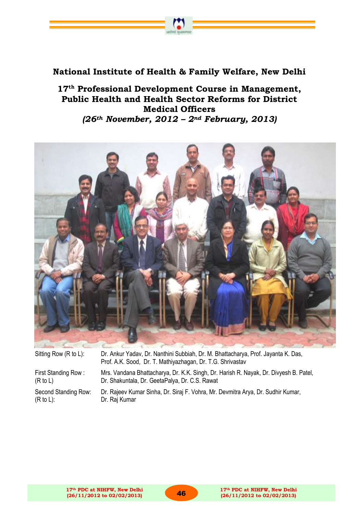# **National Institute of Health & Family Welfare, New Delhi**

**MITHS SECURES** 

**17th Professional Development Course in Management, Public Health and Health Sector Reforms for District Medical Officers**  *(26th November, 2012 – 2nd February, 2013)*



| Sitting Row (R to L): | Dr. Ankur Yadav, Dr. Nanthini Subbiah, Dr. M. Bhattacharya, Prof. Jayanta K. Das,<br>Prof. A.K. Sood, Dr. T. Mathiyazhagan, Dr. T.G. Shrivastav |
|-----------------------|-------------------------------------------------------------------------------------------------------------------------------------------------|
| First Standing Row:   | Mrs. Vandana Bhattacharya, Dr. K.K. Singh, Dr. Harish R. Nayak, Dr. Divyesh B. Patel,                                                           |
| (R to L)              | Dr. Shakuntala, Dr. GeetaPalya, Dr. C.S. Rawat                                                                                                  |
| Second Standing Row:  | Dr. Rajeev Kumar Sinha, Dr. Siraj F. Vohra, Mr. Devmitra Arya, Dr. Sudhir Kumar,                                                                |
| (R to L):             | Dr. Raj Kumar                                                                                                                                   |